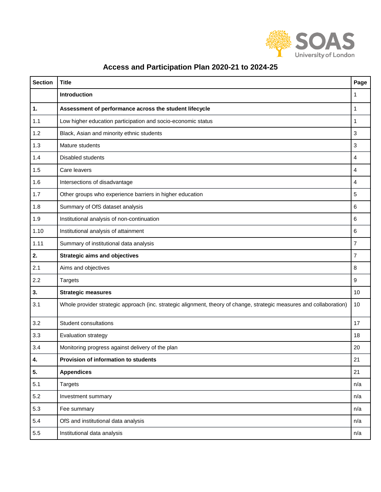

| <b>Section</b> | <b>Title</b>                                                                                                         | Page |
|----------------|----------------------------------------------------------------------------------------------------------------------|------|
|                | Introduction                                                                                                         | 1    |
| 1.             | Assessment of performance across the student lifecycle                                                               | 1    |
| 1.1            | Low higher education participation and socio-economic status                                                         | 1    |
| 1.2            | Black, Asian and minority ethnic students                                                                            | 3    |
| 1.3            | Mature students                                                                                                      | 3    |
| 1.4            | Disabled students                                                                                                    | 4    |
| 1.5            | Care leavers                                                                                                         | 4    |
| 1.6            | Intersections of disadvantage                                                                                        | 4    |
| 1.7            | Other groups who experience barriers in higher education                                                             | 5    |
| 1.8            | Summary of OfS dataset analysis                                                                                      | 6    |
| 1.9            | Institutional analysis of non-continuation                                                                           | 6    |
| 1.10           | Institutional analysis of attainment                                                                                 | 6    |
| 1.11           | Summary of institutional data analysis                                                                               | 7    |
| 2.             | <b>Strategic aims and objectives</b>                                                                                 | 7    |
| 2.1            | Aims and objectives                                                                                                  | 8    |
| 2.2            | <b>Targets</b>                                                                                                       | 9    |
| 3.             | <b>Strategic measures</b>                                                                                            | 10   |
| 3.1            | Whole provider strategic approach (inc. strategic alignment, theory of change, strategic measures and collaboration) | 10   |
| 3.2            | <b>Student consultations</b>                                                                                         | 17   |
| 3.3            | Evaluation strategy                                                                                                  | 18   |
| 3.4            | Monitoring progress against delivery of the plan                                                                     | 20   |
| 4.             | Provision of information to students                                                                                 | 21   |
| 5.             | <b>Appendices</b>                                                                                                    | 21   |
| 5.1            | <b>Targets</b>                                                                                                       | n/a  |
| 5.2            | Investment summary                                                                                                   | n/a  |
| 5.3            | Fee summary                                                                                                          | n/a  |
| 5.4            | OfS and institutional data analysis                                                                                  | n/a  |
| 5.5            | Institutional data analysis                                                                                          | n/a  |

## **Access and Participation Plan 2020-21 to 2024-25**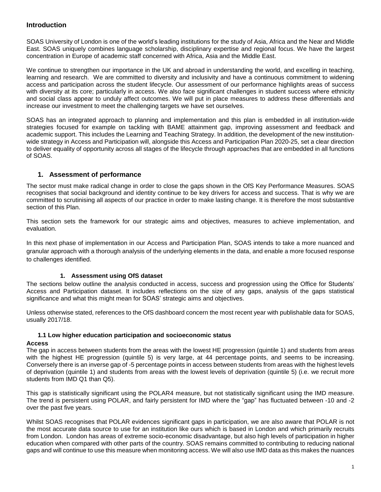#### **Introduction**

SOAS University of London is one of the world's leading institutions for the study of Asia, Africa and the Near and Middle East. SOAS uniquely combines language scholarship, disciplinary expertise and regional focus. We have the largest concentration in Europe of academic staff concerned with Africa, Asia and the Middle East.

We continue to strengthen our importance in the UK and abroad in understanding the world, and excelling in teaching, learning and research. We are committed to diversity and inclusivity and have a continuous commitment to widening access and participation across the student lifecycle. Our assessment of our performance highlights areas of success with diversity at its core; particularly in access. We also face significant challenges in student success where ethnicity and social class appear to unduly affect outcomes. We will put in place measures to address these differentials and increase our investment to meet the challenging targets we have set ourselves.

SOAS has an integrated approach to planning and implementation and this plan is embedded in all institution-wide strategies focused for example on tackling with BAME attainment gap, improving assessment and feedback and academic support. This includes the Learning and Teaching Strategy. In addition, the development of the new institutionwide strategy in Access and Participation will, alongside this Access and Participation Plan 2020-25, set a clear direction to deliver equality of opportunity across all stages of the lifecycle through approaches that are embedded in all functions of SOAS.

#### **1. Assessment of performance**

The sector must make radical change in order to close the gaps shown in the OfS Key Performance Measures. SOAS recognises that social background and identity continue to be key drivers for access and success. That is why we are committed to scrutinising all aspects of our practice in order to make lasting change. It is therefore the most substantive section of this Plan.

This section sets the framework for our strategic aims and objectives, measures to achieve implementation, and evaluation.

In this next phase of implementation in our Access and Participation Plan, SOAS intends to take a more nuanced and granular approach with a thorough analysis of the underlying elements in the data, and enable a more focused response to challenges identified.

#### **1. Assessment using OfS dataset**

The sections below outline the analysis conducted in access, success and progression using the Office for Students' Access and Participation dataset. It includes reflections on the size of any gaps, analysis of the gaps statistical significance and what this might mean for SOAS' strategic aims and objectives.

Unless otherwise stated, references to the OfS dashboard concern the most recent year with publishable data for SOAS, usually 2017/18.

#### **1.1 Low higher education participation and socioeconomic status**

#### **Access**

The gap in access between students from the areas with the lowest HE progression (quintile 1) and students from areas with the highest HE progression (quintile 5) is very large, at 44 percentage points, and seems to be increasing. Conversely there is an inverse gap of -5 percentage points in access between students from areas with the highest levels of deprivation (quintile 1) and students from areas with the lowest levels of deprivation (quintile 5) (i.e. we recruit more students from IMD Q1 than Q5).

This gap is statistically significant using the POLAR4 measure, but not statistically significant using the IMD measure. The trend is persistent using POLAR, and fairly persistent for IMD where the "gap" has fluctuated between -10 and -2 over the past five years.

Whilst SOAS recognises that POLAR evidences significant gaps in participation, we are also aware that POLAR is not the most accurate data source to use for an institution like ours which is based in London and which primarily recruits from London. London has areas of extreme socio-economic disadvantage, but also high levels of participation in higher education when compared with other parts of the country. SOAS remains committed to contributing to reducing national gaps and will continue to use this measure when monitoring access. We will also use IMD data as this makes the nuances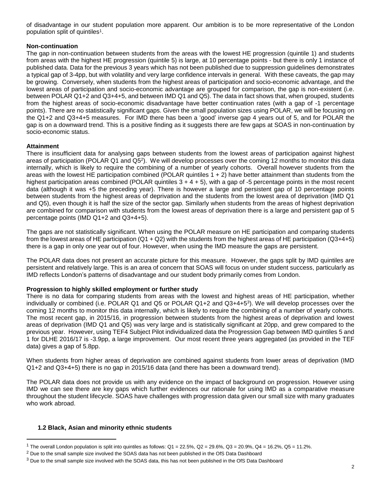of disadvantage in our student population more apparent. Our ambition is to be more representative of the London population split of quintiles<sup>1</sup>.

#### **Non-continuation**

The gap in non-continuation between students from the areas with the lowest HE progression (quintile 1) and students from areas with the highest HE progression (quintile 5) is large, at 10 percentage points - but there is only 1 instance of published data. Data for the previous 3 years which has not been published due to suppression guidelines demonstrates a typical gap of 3-4pp, but with volatility and very large confidence intervals in general. With these caveats, the gap may be growing. Conversely, when students from the highest areas of participation and socio-economic advantage, and the lowest areas of participation and socio-economic advantage are grouped for comparison, the gap is non-existent (i.e. between POLAR Q1+2 and Q3+4+5, and between IMD Q1 and Q5). The data in fact shows that, when grouped, students from the highest areas of socio-economic disadvantage have better continuation rates (with a gap of -1 percentage points). There are no statistically significant gaps. Given the small population sizes using POLAR, we will be focusing on the Q1+2 and Q3+4+5 measures. For IMD there has been a 'good' inverse gap 4 years out of 5, and for POLAR the gap is on a downward trend. This is a positive finding as it suggests there are few gaps at SOAS in non-continuation by socio-economic status.

#### **Attainment**

 $\overline{a}$ 

There is insufficient data for analysing gaps between students from the lowest areas of participation against highest areas of participation (POLAR Q1 and Q5<sup>2</sup> ). We will develop processes over the coming 12 months to monitor this data internally, which is likely to require the combining of a number of yearly cohorts. Overall however students from the areas with the lowest HE participation combined (POLAR quintiles 1 + 2) have better attainment than students from the highest participation areas combined (POLAR quintiles  $3 + 4 + 5$ ), with a gap of -5 percentage points in the most recent data (although it was +5 the preceding year). There is however a large and persistent gap of 10 percentage points between students from the highest areas of deprivation and the students from the lowest area of deprivation (IMD Q1 and Q5), even though it is half the size of the sector gap. Similarly when students from the areas of highest deprivation are combined for comparison with students from the lowest areas of deprivation there is a large and persistent gap of 5 percentage points (IMD Q1+2 and Q3+4+5).

The gaps are not statistically significant. When using the POLAR measure on HE participation and comparing students from the lowest areas of HE participation  $(Q1 + Q2)$  with the students from the highest areas of HE participation  $(Q3+4+5)$ there is a gap in only one year out of four. However, when using the IMD measure the gaps are persistent.

The POLAR data does not present an accurate picture for this measure. However, the gaps split by IMD quintiles are persistent and relatively large. This is an area of concern that SOAS will focus on under student success, particularly as IMD reflects London's patterns of disadvantage and our student body primarily comes from London.

#### **Progression to highly skilled employment or further study**

There is no data for comparing students from areas with the lowest and highest areas of HE participation, whether individually or combined (i.e. POLAR Q1 and Q5 or POLAR Q1+2 and Q3+4+5<sup>3</sup> ). We will develop processes over the coming 12 months to monitor this data internally, which is likely to require the combining of a number of yearly cohorts. The most recent gap, in 2015/16, in progression between students from the highest areas of deprivation and lowest areas of deprivation (IMD Q1 and Q5) was very large and is statistically significant at 20pp, and grew compared to the previous year. However, using TEF4 Subject Pilot individualized data the Progression Gap between IMD quintiles 5 and 1 for DLHE 2016/17 is -3.9pp, a large improvement. Our most recent three years aggregated (as provided in the TEF data) gives a gap of 5.8pp.

When students from higher areas of deprivation are combined against students from lower areas of deprivation (IMD Q1+2 and Q3+4+5) there is no gap in 2015/16 data (and there has been a downward trend).

The POLAR data does not provide us with any evidence on the impact of background on progression. However using IMD we can see there are key gaps which further evidences our rationale for using IMD as a comparative measure throughout the student lifecycle. SOAS have challenges with progression data given our small size with many graduates who work abroad.

#### **1.2 Black, Asian and minority ethnic students**

<sup>&</sup>lt;sup>1</sup> The overall London population is split into quintiles as follows:  $Q1 = 22.5\%$ ,  $Q2 = 29.6\%$ ,  $Q3 = 20.9\%$ ,  $Q4 = 16.2\%$ ,  $Q5 = 11.2\%$ .

<sup>&</sup>lt;sup>2</sup> Due to the small sample size involved the SOAS data has not been published in the OfS Data Dashboard

<sup>&</sup>lt;sup>3</sup> Due to the small sample size involved with the SOAS data, this has not been published in the OfS Data Dashboard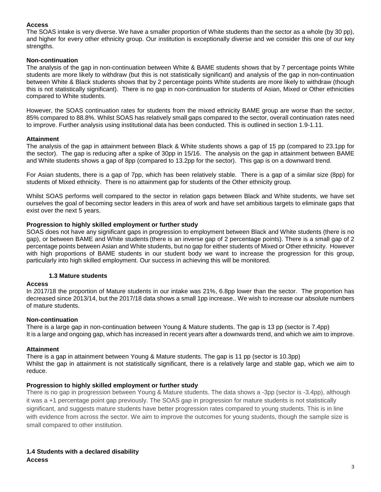#### **Access**

The SOAS intake is very diverse. We have a smaller proportion of White students than the sector as a whole (by 30 pp), and higher for every other ethnicity group. Our institution is exceptionally diverse and we consider this one of our key strengths.

#### **Non-continuation**

The analysis of the gap in non-continuation between White & BAME students shows that by 7 percentage points White students are more likely to withdraw (but this is not statistically significant) and analysis of the gap in non-continuation between White & Black students shows that by 2 percentage points White students are more likely to withdraw (though this is not statistically significant). There is no gap in non-continuation for students of Asian, Mixed or Other ethnicities compared to White students.

However, the SOAS continuation rates for students from the mixed ethnicity BAME group are worse than the sector, 85% compared to 88.8%. Whilst SOAS has relatively small gaps compared to the sector, overall continuation rates need to improve. Further analysis using institutional data has been conducted. This is outlined in section 1.9-1.11.

#### **Attainment**

The analysis of the gap in attainment between Black & White students shows a gap of 15 pp (compared to 23.1pp for the sector). The gap is reducing after a spike of 30pp in 15/16. The analysis on the gap in attainment between BAME and White students shows a gap of 8pp (compared to 13.2pp for the sector). This gap is on a downward trend.

For Asian students, there is a gap of 7pp, which has been relatively stable. There is a gap of a similar size (8pp) for students of Mixed ethnicity. There is no attainment gap for students of the Other ethnicity group.

Whilst SOAS performs well compared to the sector in relation gaps between Black and White students, we have set ourselves the goal of becoming sector leaders in this area of work and have set ambitious targets to eliminate gaps that exist over the next 5 years.

#### **Progression to highly skilled employment or further study**

SOAS does not have any significant gaps in progression to employment between Black and White students (there is no gap), or between BAME and White students (there is an inverse gap of 2 percentage points). There is a small gap of 2 percentage points between Asian and White students, but no gap for either students of Mixed or Other ethnicity. However with high proportions of BAME students in our student body we want to increase the progression for this group, particularly into high skilled employment. Our success in achieving this will be monitored.

#### **1.3 Mature students**

#### **Access**

In 2017/18 the proportion of Mature students in our intake was 21%, 6.8pp lower than the sector. The proportion has decreased since 2013/14, but the 2017/18 data shows a small 1pp increase.. We wish to increase our absolute numbers of mature students.

#### **Non-continuation**

There is a large gap in non-continuation between Young & Mature students. The gap is 13 pp (sector is 7.4pp) It is a large and ongoing gap, which has increased in recent years after a downwards trend, and which we aim to improve.

#### **Attainment**

There is a gap in attainment between Young & Mature students. The gap is 11 pp (sector is 10.3pp) Whilst the gap in attainment is not statistically significant, there is a relatively large and stable gap, which we aim to reduce.

#### **Progression to highly skilled employment or further study**

There is no gap in progression between Young & Mature students. The data shows a -3pp (sector is -3.4pp), although it was a +1 percentage point gap previously. The SOAS gap in progression for mature students is not statistically significant, and suggests mature students have better progression rates compared to young students. This is in line with evidence from across the sector. We aim to improve the outcomes for young students, though the sample size is small compared to other institution.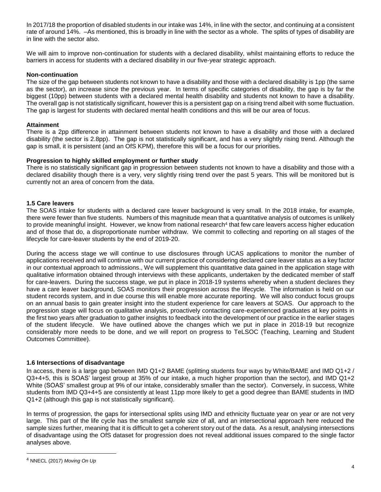In 2017/18 the proportion of disabled students in our intake was 14%, in line with the sector, and continuing at a consistent rate of around 14%. –As mentioned, this is broadly in line with the sector as a whole. The splits of types of disability are in line with the sector also.

We will aim to improve non-continuation for students with a declared disability, whilst maintaining efforts to reduce the barriers in access for students with a declared disability in our five-year strategic approach.

#### **Non-continuation**

The size of the gap between students not known to have a disability and those with a declared disability is 1pp (the same as the sector), an increase since the previous year. In terms of specific categories of disability, the gap is by far the biggest (10pp) between students with a declared mental health disability and students not known to have a disability. The overall gap is not statistically significant, however this is a persistent gap on a rising trend albeit with some fluctuation. The gap is largest for students with declared mental health conditions and this will be our area of focus.

#### **Attainment**

There is a 2pp difference in attainment between students not known to have a disability and those with a declared disability (the sector is 2.8pp). The gap is not statistically significant, and has a very slightly rising trend. Although the gap is small, it is persistent (and an OfS KPM), therefore this will be a focus for our priorities.

#### **Progression to highly skilled employment or further study**

There is no statistically significant gap in progression between students not known to have a disability and those with a declared disability though there is a very, very slightly rising trend over the past 5 years. This will be monitored but is currently not an area of concern from the data.

#### **1.5 Care leavers**

The SOAS intake for students with a declared care leaver background is very small. In the 2018 intake, for example, there were fewer than five students. Numbers of this magnitude mean that a quantitative analysis of outcomes is unlikely to provide meaningful insight. However, we know from national research<sup>4</sup> that few care leavers access higher education and of those that do, a disproportionate number withdraw. We commit to collecting and reporting on all stages of the lifecycle for care-leaver students by the end of 2019-20.

During the access stage we will continue to use disclosures through UCAS applications to monitor the number of applications received and will continue with our current practice of considering declared care leaver status as a key factor in our contextual approach to admissions., We will supplement this quantitative data gained in the application stage with qualitative information obtained through interviews with these applicants, undertaken by the dedicated member of staff for care-leavers. During the success stage, we put in place in 2018-19 systems whereby when a student declares they have a care leaver background, SOAS monitors their progression across the lifecycle. The information is held on our student records system, and in due course this will enable more accurate reporting. We will also conduct focus groups on an annual basis to gain greater insight into the student experience for care leavers at SOAS. Our approach to the progression stage will focus on qualitative analysis, proactively contacting care-experienced graduates at key points in the first two years after graduation to gather insights to feedback into the development of our practice in the earlier stages of the student lifecycle. We have outlined above the changes which we put in place in 2018-19 but recognize considerably more needs to be done, and we will report on progress to TeLSOC (Teaching, Learning and Student Outcomes Committee).

#### **1.6 Intersections of disadvantage**

In access, there is a large gap between IMD Q1+2 BAME (splitting students four ways by White/BAME and IMD Q1+2 / Q3+4+5, this is SOAS' largest group at 35% of our intake, a much higher proportion than the sector), and IMD Q1+2 White (SOAS' smallest group at 9% of our intake, considerably smaller than the sector). Conversely, in success, White students from IMD Q3+4+5 are consistently at least 11pp more likely to get a good degree than BAME students in IMD Q1+2 (although this gap is not statistically significant).

In terms of progression, the gaps for intersectional splits using IMD and ethnicity fluctuate year on year or are not very large. This part of the life cycle has the smallest sample size of all, and an intersectional approach here reduced the sample sizes further, meaning that it is difficult to get a coherent story out of the data. As a result, analysing intersections of disadvantage using the OfS dataset for progression does not reveal additional issues compared to the single factor analyses above.

 $\overline{a}$ 

<sup>4</sup> NNECL (2017) *Moving On Up*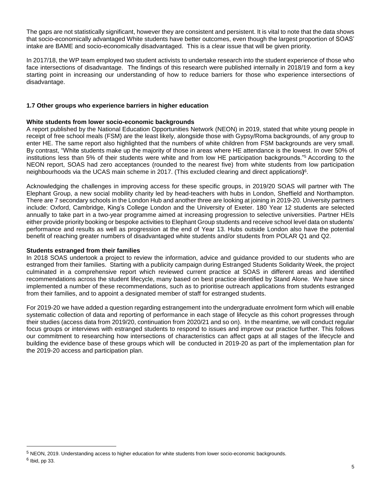The gaps are not statistically significant, however they are consistent and persistent. It is vital to note that the data shows that socio-economically advantaged White students have better outcomes, even though the largest proportion of SOAS' intake are BAME and socio-economically disadvantaged. This is a clear issue that will be given priority.

In 2017/18, the WP team employed two student activists to undertake research into the student experience of those who face intersections of disadvantage. The findings of this research were published internally in 2018/19 and form a key starting point in increasing our understanding of how to reduce barriers for those who experience intersections of disadvantage.

#### **1.7 Other groups who experience barriers in higher education**

#### **White students from lower socio-economic backgrounds**

A report published by the National Education Opportunities Network (NEON) in 2019, stated that white young people in receipt of free school meals (FSM) are the least likely, alongside those with Gypsy/Roma backgrounds, of any group to enter HE. The same report also highlighted that the numbers of white children from FSM backgrounds are very small. By contrast, "White students make up the majority of those in areas where HE attendance is the lowest. In over 50% of institutions less than 5% of their students were white and from low HE participation backgrounds."<sup>5</sup> According to the NEON report, SOAS had zero acceptances (rounded to the nearest five) from white students from low participation neighbourhoods via the UCAS main scheme in 2017. (This excluded clearing and direct applications**)** 6 .

Acknowledging the challenges in improving access for these specific groups, in 2019/20 SOAS will partner with The Elephant Group, a new social mobility charity led by head-teachers with hubs in London, Sheffield and Northampton. There are 7 secondary schools in the London Hub and another three are looking at joining in 2019-20. University partners include: Oxford, Cambridge, King's College London and the University of Exeter. 180 Year 12 students are selected annually to take part in a two-year programme aimed at increasing progression to selective universities. Partner HEIs either provide priority booking or bespoke activities to Elephant Group students and receive school level data on students' performance and results as well as progression at the end of Year 13. Hubs outside London also have the potential benefit of reaching greater numbers of disadvantaged white students and/or students from POLAR Q1 and Q2.

#### **Students estranged from their families**

 $\overline{a}$ 

In 2018 SOAS undertook a project to review the information, advice and guidance provided to our students who are estranged from their families. Starting with a publicity campaign during Estranged Students Solidarity Week, the project culminated in a comprehensive report which reviewed current practice at SOAS in different areas and identified recommendations across the student lifecycle, many based on best practice identified by Stand Alone. We have since implemented a number of these recommendations, such as to prioritise outreach applications from students estranged from their families, and to appoint a designated member of staff for estranged students.

For 2019-20 we have added a question regarding estrangement into the undergraduate enrolment form which will enable systematic collection of data and reporting of performance in each stage of lifecycle as this cohort progresses through their studies (access data from 2019/20, continuation from 2020/21 and so on). In the meantime, we will conduct regular focus groups or interviews with estranged students to respond to issues and improve our practice further. This follows our commitment to researching how intersections of characteristics can affect gaps at all stages of the lifecycle and building the evidence base of these groups which will be conducted in 2019-20 as part of the implementation plan for the 2019-20 access and participation plan.

<sup>5</sup> NEON, 2019. Understanding access to higher education for white students from lower socio-economic backgrounds. <sup>6</sup> Ibid, pp 33.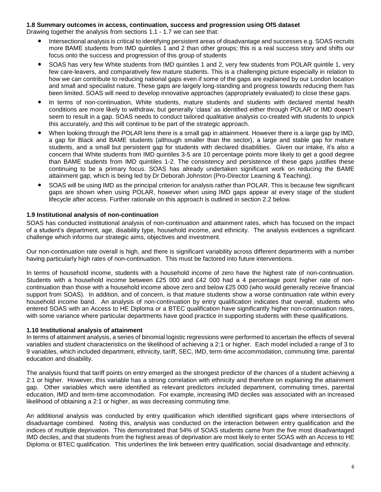#### **1.8 Summary outcomes in access, continuation, success and progression using OfS dataset**

Drawing together the analysis from sections 1.1 - 1.7 we can see that:

- Intersectional analysis is critical to identifying persistent areas of disadvantage and successes e.g. SOAS recruits more BAME students from IMD quintiles 1 and 2 than other groups; this is a real success story and shifts our focus onto the success and progression of this group of students
- SOAS has very few White students from IMD quintiles 1 and 2, very few students from POLAR quintile 1, very few care-leavers, and comparatively few mature students. This is a challenging picture especially in relation to how we can contribute to reducing national gaps even if some of the gaps are explained by our London location and small and specialist nature. These gaps are largely long-standing and progress towards reducing them has been limited. SOAS will need to develop innovative approaches (appropriately evaluated) to close these gaps.
- In terms of non-continuation, White students, mature students and students with declared mental health conditions are more likely to withdraw, but generally 'class' as identified either through POLAR or IMD doesn't seem to result in a gap. SOAS needs to conduct tailored qualitative analysis co-created with students to unpick this accurately, and this will continue to be part of the strategic approach.
- When looking through the POLAR lens there is a small gap in attainment. However there is a large gap by IMD, a gap for Black and BAME students (although smaller than the sector), a large and stable gap for mature students, and a small but persistent gap for students with declared disabilities. Given our intake, it's also a concern that White students from IMD quintiles 3-5 are 10 percentage points more likely to get a good degree than BAME students from IMD quintiles 1-2. The consistency and persistence of these gaps justifies these continuing to be a primary focus. SOAS has already undertaken significant work on reducing the BAME attainment gap, which is being led by Dr Deborah Johnston (Pro-Director Learning & Teaching).
- SOAS will be using IMD as the principal criterion for analysis rather than POLAR. This is because few significant gaps are shown when using POLAR, however when using IMD gaps appear at every stage of the student lifecycle after access. Further rationale on this approach is outlined in section 2.2 below.

#### **1.9 Institutional analysis of non-continuation**

SOAS has conducted institutional analysis of non-continuation and attainment rates, which has focused on the impact of a student's department, age, disability type, household income, and ethnicity. The analysis evidences a significant challenge which informs our strategic aims, objectives and investment.

Our non-continuation rate overall is high, and there is significant variability across different departments with a number having particularly high rates of non-continuation. This must be factored into future interventions.

In terms of household income, students with a household income of zero have the highest rate of non-continuation. Students with a household income between £25 000 and £42 000 had a 4 percentage point higher rate of noncontinuation than those with a household income above zero and below £25 000 (who would generally receive financial support from SOAS). In addition, and of concern, is that mature students show a worse continuation rate within every household income band. An analysis of non-continuation by entry qualification indicates that overall, students who entered SOAS with an Access to HE Diploma or a BTEC qualification have significantly higher non-continuation rates, with some variance where particular departments have good practice in supporting students with these qualifications.

#### **1.10 Institutional analysis of attainment**

In terms of attainment analysis, a series of binomial logistic regressions were performed to ascertain the effects of several variables and student characteristics on the likelihood of achieving a 2:1 or higher. Each model included a range of 3 to 9 variables, which included department, ethnicity, tariff, SEC, IMD, term-time accommodation, commuting time, parental education and disability.

The analysis found that tariff points on entry emerged as the strongest predictor of the chances of a student achieving a 2:1 or higher. However, this variable has a strong correlation with ethnicity and therefore on explaining the attainment gap. Other variables which were identified as relevant predictors included department, commuting times, parental education, IMD and term-time accommodation. For example, increasing IMD deciles was associated with an increased likelihood of obtaining a 2:1 or higher, as was decreasing commuting time.

An additional analysis was conducted by entry qualification which identified significant gaps where intersections of disadvantage combined. Noting this, analysis was conducted on the interaction between entry qualification and the indices of multiple deprivation. This demonstrated that 54% of SOAS students came from the five most disadvantaged IMD deciles, and that students from the highest areas of deprivation are most likely to enter SOAS with an Access to HE Diploma or BTEC qualification. This underlines the link between entry qualification, social disadvantage and ethnicity.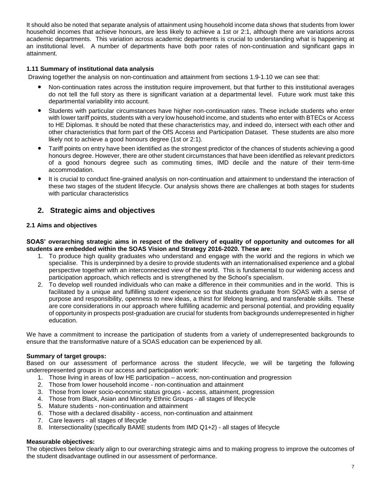It should also be noted that separate analysis of attainment using household income data shows that students from lower household incomes that achieve honours, are less likely to achieve a 1st or 2:1, although there are variations across academic departments. This variation across academic departments is crucial to understanding what is happening at an institutional level. A number of departments have both poor rates of non-continuation and significant gaps in attainment.

#### **1.11 Summary of institutional data analysis**

Drawing together the analysis on non-continuation and attainment from sections 1.9-1.10 we can see that:

- Non-continuation rates across the institution require improvement, but that further to this institutional averages do not tell the full story as there is significant variation at a departmental level. Future work must take this departmental variability into account.
- Students with particular circumstances have higher non-continuation rates. These include students who enter with lower tariff points, students with a very low household income, and students who enter with BTECs or Access to HE Diplomas. It should be noted that these characteristics may, and indeed do, intersect with each other and other characteristics that form part of the OfS Access and Participation Dataset. These students are also more likely not to achieve a good honours degree (1st or 2:1).
- Tariff points on entry have been identified as the strongest predictor of the chances of students achieving a good honours degree. However, there are other student circumstances that have been identified as relevant predictors of a good honours degree such as commuting times, IMD decile and the nature of their term-time accommodation.
- It is crucial to conduct fine-grained analysis on non-continuation and attainment to understand the interaction of these two stages of the student lifecycle. Our analysis shows there are challenges at both stages for students with particular characteristics

#### **2. Strategic aims and objectives**

#### **2.1 Aims and objectives**

SOAS' overarching strategic aims in respect of the delivery of equality of opportunity and outcomes for all **students are embedded within the SOAS Vision and Strategy 2016-2020. These are:**

- 1. To produce high quality graduates who understand and engage with the world and the regions in which we specialise. This is underpinned by a desire to provide students with an internationalised experience and a global perspective together with an interconnected view of the world. This is fundamental to our widening access and participation approach, which reflects and is strengthened by the School's specialism.
- 2. To develop well rounded individuals who can make a difference in their communities and in the world. This is facilitated by a unique and fulfilling student experience so that students graduate from SOAS with a sense of purpose and responsibility, openness to new ideas, a thirst for lifelong learning, and transferable skills. These are core considerations in our approach where fulfilling academic and personal potential, and providing equality of opportunity in prospects post-graduation are crucial for students from backgrounds underrepresented in higher education.

We have a commitment to increase the participation of students from a variety of underrepresented backgrounds to ensure that the transformative nature of a SOAS education can be experienced by all.

#### **Summary of target groups:**

Based on our assessment of performance across the student lifecycle, we will be targeting the following underrepresented groups in our access and participation work:

- 1. Those living in areas of low HE participation access, non-continuation and progression
- 2. Those from lower household income non-continuation and attainment
- 3. Those from lower socio-economic status groups access, attainment, progression
- 4. Those from Black, Asian and Minority Ethnic Groups all stages of lifecycle
- 5. Mature students non-continuation and attainment
- 6. Those with a declared disability access, non-continuation and attainment
- 7. Care leavers all stages of lifecycle
- 8. Intersectionality (specifically BAME students from IMD Q1+2) all stages of lifecycle

#### **Measurable objectives:**

The objectives below clearly align to our overarching strategic aims and to making progress to improve the outcomes of the student disadvantage outlined in our assessment of performance.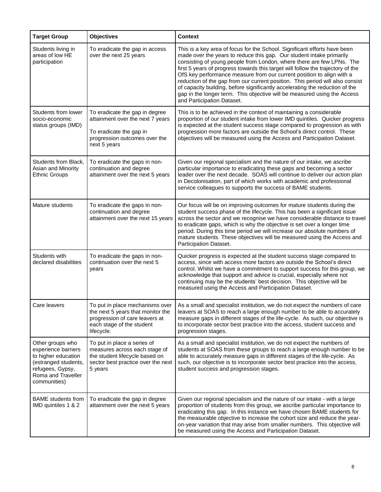| <b>Target Group</b>                                                                                                                              | <b>Objectives</b>                                                                                                                                 | <b>Context</b>                                                                                                                                                                                                                                                                                                                                                                                                                                                                                                                                                                                                                                                    |
|--------------------------------------------------------------------------------------------------------------------------------------------------|---------------------------------------------------------------------------------------------------------------------------------------------------|-------------------------------------------------------------------------------------------------------------------------------------------------------------------------------------------------------------------------------------------------------------------------------------------------------------------------------------------------------------------------------------------------------------------------------------------------------------------------------------------------------------------------------------------------------------------------------------------------------------------------------------------------------------------|
| Students living in<br>areas of low HE<br>participation                                                                                           | To eradicate the gap in access<br>over the next 25 years                                                                                          | This is a key area of focus for the School. Significant efforts have been<br>made over the years to reduce this gap. Our student intake primarily<br>consisting of young people from London, where there are few LPNs. The<br>first 5 years of progress towards this target will follow the trajectory of the<br>OfS key performance measure from our current position to align with a<br>reduction of the gap from our current position. This period will also consist<br>of capacity building, before significantly accelerating the reduction of the<br>gap in the longer term. This objective will be measured using the Access<br>and Participation Dataset. |
| Students from lower<br>socio-economic<br>status groups (IMD)                                                                                     | To eradicate the gap in degree<br>attainment over the next 7 years<br>To eradicate the gap in<br>progression outcomes over the<br>next 5 years    | This is to be achieved in the context of maintaining a considerable<br>proportion of our student intake from lower IMD quintiles. Quicker progress<br>is expected at the student success stage compared to progression as with<br>progression more factors are outside the School's direct control. These<br>objectives will be measured using the Access and Participation Dataset.                                                                                                                                                                                                                                                                              |
| Students from Black,<br>Asian and Minority<br><b>Ethnic Groups</b>                                                                               | To eradicate the gaps in non-<br>continuation and degree<br>attainment over the next 5 years                                                      | Given our regional specialism and the nature of our intake, we ascribe<br>particular importance to eradicating these gaps and becoming a sector<br>leader over the next decade. SOAS will continue to deliver our action plan<br>in Decolonisation, part of which works with academic and professional<br>service colleagues to supports the success of BAME students.                                                                                                                                                                                                                                                                                            |
| Mature students                                                                                                                                  | To eradicate the gaps in non-<br>continuation and degree<br>attainment over the next 15 years                                                     | Our focus will be on improving outcomes for mature students during the<br>student success phase of the lifecycle. This has been a significant issue<br>across the sector and we recognise we have considerable distance to travel<br>to eradicate gaps, which is why the objective is set over a longer time<br>period. During this time period we will increase our absolute numbers of<br>mature students. These objectives will be measured using the Access and<br>Participation Dataset.                                                                                                                                                                     |
| Students with<br>declared disabilities                                                                                                           | To eradicate the gaps in non-<br>continuation over the next 5<br>years                                                                            | Quicker progress is expected at the student success stage compared to<br>access, since with access more factors are outside the School's direct<br>control. Whilst we have a commitment to support success for this group, we<br>acknowledge that support and advice is crucial, especially where not<br>continuing may be the students' best decision. This objective will be<br>measured using the Access and Participation Dataset.                                                                                                                                                                                                                            |
| Care leavers                                                                                                                                     | To put in place mechanisms over<br>the next 5 years that monitor the<br>progression of care leavers at<br>each stage of the student<br>lifecycle. | As a small and specialist institution, we do not expect the numbers of care<br>leavers at SOAS to reach a large enough number to be able to accurately<br>measure gaps in different stages of the life-cycle. As such, our objective is<br>to incorporate sector best practice into the access, student success and<br>progression stages.                                                                                                                                                                                                                                                                                                                        |
| Other groups who<br>experience barriers<br>to higher education<br>(estranged students,<br>refugees, Gypsy,<br>Roma and Traveller<br>communities) | To put in place a series of<br>measures across each stage of<br>the student lifecycle based on<br>sector best practice over the next<br>5 years   | As a small and specialist institution, we do not expect the numbers of<br>students at SOAS from these groups to reach a large enough number to be<br>able to accurately measure gaps in different stages of the life-cycle. As<br>such, our objective is to incorporate sector best practice into the access,<br>student success and progression stages.                                                                                                                                                                                                                                                                                                          |
| <b>BAME</b> students from<br>IMD quintiles 1 & 2                                                                                                 | To eradicate the gap in degree<br>attainment over the next 5 years                                                                                | Given our regional specialism and the nature of our intake - with a large<br>proportion of students from this group, we ascribe particular importance to<br>eradicating this gap. In this instance we have chosen BAME students for<br>the measurable objective to increase the cohort size and reduce the year-<br>on-year variation that may arise from smaller numbers. This objective will<br>be measured using the Access and Participation Dataset.                                                                                                                                                                                                         |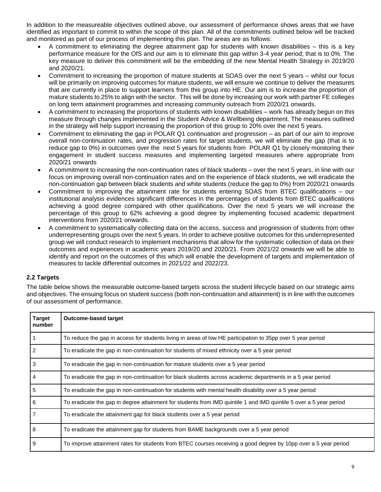In addition to the measureable objectives outlined above, our assessment of performance shows areas that we have identified as important to commit to within the scope of this plan. All of the commitments outlined below will be tracked and monitored as part of our process of implementing this plan. The areas are as follows:

- A commitment to eliminating the degree attainment gap for students with known disabilities this is a key performance measure for the OfS and our aim is to eliminate this gap within 3-4 year period; that is to 0%. The key measure to deliver this commitment will be the embedding of the new Mental Health Strategy in 2019/20 and 2020/21.
- Commitment to increasing the proportion of mature students at SOAS over the next 5 years whilst our focus will be primarily on improving outcomes for mature students, we will ensure we continue to deliver the measures that are currently in place to support learners from this group into HE. Our aim is to increase the proportion of mature students to 25% to align with the sector. This will be done by increasing our work with partner FE colleges on long term attainment programmes and increasing community outreach from 2020/21 onwards.
- A commitment to increasing the proportions of students with known disabilities work has already begun on this measure through changes implemented in the Student Advice & Wellbeing department. The measures outlined in the strategy will help support increasing the proportion of this group to 20% over the next 5 years.
- Commitment to eliminating the gap in POLAR Q1 continuation and progression as part of our aim to improve overall non-continuation rates, and progression rates for target students, we will eliminate the gap (that is to reduce gap to 0%) in outcomes over the next 5 years for students from POLAR Q1 by closely monitoring their engagement in student success measures and implementing targeted measures where appropriate from 2020/21 onwards
- A commitment to increasing the non-continuation rates of black students over the next 5 years, in line with our focus on improving overall non-continuation rates and on the experience of black students, we will eradicate the non-continuation gap between black students and white students (reduce the gap to 0%) from 2020/21 onwards
- Commitment to improving the attainment rate for students entering SOAS from BTEC qualifications our institutional analysis evidences significant differences in the percentages of students from BTEC qualifications achieving a good degree compared with other qualifications. Over the next 5 years we will increase the percentage of this group to 62% achieving a good degree by implementing focused academic department interventions from 2020/21 onwards.
- A commitment to systematically collecting data on the access, success and progression of students from other underrepresenting groups over the next 5 years. In order to achieve positive outcomes for this underrepresented group we will conduct research to implement mechanisms that allow for the systematic collection of data on their outcomes and experiences in academic years 2019/20 and 2020/21. From 2021/22 onwards we will be able to identify and report on the outcomes of this which will enable the development of targets and implementation of measures to tackle differential outcomes in 2021/22 and 2022/23.

#### **2.2 Targets**

The table below shows the measurable outcome-based targets across the student lifecycle based on our strategic aims and objectives. The ensuing focus on student success (both non-continuation and attainment) is in line with the outcomes of our assessment of performance.

| Target<br>number | <b>Outcome-based target</b>                                                                                        |
|------------------|--------------------------------------------------------------------------------------------------------------------|
|                  | To reduce the gap in access for students living in areas of low HE participation to 35pp over 5 year period        |
|                  | To eradicate the gap in non-continuation for students of mixed ethnicity over a 5 year period                      |
| 3                | To eradicate the gap in non-continuation for mature students over a 5 year period                                  |
| 4                | To eradicate the gap in non-continuation for black students across academic departments in a 5 year period         |
| 5                | To eradicate the gap in non-continuation for students with mental health disability over a 5 year period           |
| 6                | To eradicate the gap in degree attainment for students from IMD quintile 1 and IMD quintile 5 over a 5 year period |
|                  | To eradicate the attainment gap for black students over a 5 year period                                            |
| 8                | To eradicate the attainment gap for students from BAME backgrounds over a 5 year period                            |
| 9                | To improve attainment rates for students from BTEC courses receiving a good degree by 10pp over a 5 year period    |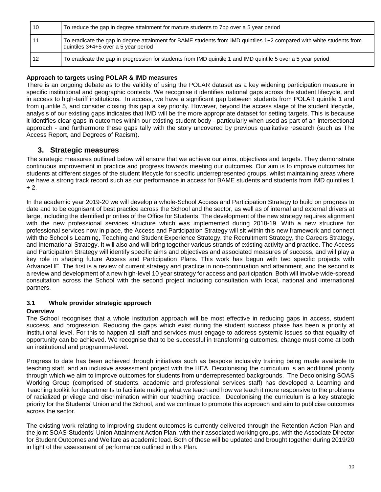| 10 | To reduce the gap in degree attainment for mature students to 7pp over a 5 year period                                                                       |
|----|--------------------------------------------------------------------------------------------------------------------------------------------------------------|
| 11 | To eradicate the gap in degree attainment for BAME students from IMD quintiles 1+2 compared with white students from<br>quintiles 3+4+5 over a 5 year period |
| 12 | To eradicate the gap in progression for students from IMD quintile 1 and IMD quintile 5 over a 5 year period                                                 |

#### **Approach to targets using POLAR & IMD measures**

There is an ongoing debate as to the validity of using the POLAR dataset as a key widening participation measure in specific institutional and geographic contexts. We recognise it identifies national gaps across the student lifecycle, and in access to high-tariff institutions. In access, we have a significant gap between students from POLAR quintile 1 and from quintile 5, and consider closing this gap a key priority. However, beyond the access stage of the student lifecycle, analysis of our existing gaps indicates that IMD will be the more appropriate dataset for setting targets. This is because it identifies clear gaps in outcomes within our existing student body - particularly when used as part of an intersectional approach - and furthermore these gaps tally with the story uncovered by previous qualitative research (such as The Access Report, and Degrees of Racism).

#### **3. Strategic measures**

The strategic measures outlined below will ensure that we achieve our aims, objectives and targets. They demonstrate continuous improvement in practice and progress towards meeting our outcomes. Our aim is to improve outcomes for students at different stages of the student lifecycle for specific underrepresented groups, whilst maintaining areas where we have a strong track record such as our performance in access for BAME students and students from IMD quintiles 1  $+ 2.$ 

In the academic year 2019-20 we will develop a whole-School Access and Participation Strategy to build on progress to date and to be cognisant of best practice across the School and the sector, as well as of internal and external drivers at large, including the identified priorities of the Office for Students. The development of the new strategy requires alignment with the new professional services structure which was implemented during 2018-19. With a new structure for professional services now in place, the Access and Participation Strategy will sit within this new framework and connect with the School's Learning, Teaching and Student Experience Strategy, the Recruitment Strategy, the Careers Strategy, and International Strategy. It will also and will bring together various strands of existing activity and practice. The Access and Participation Strategy will identify specific aims and objectives and associated measures of success, and will play a key role in shaping future Access and Participation Plans. This work has begun with two specific projects with AdvanceHE. The first is a review of current strategy and practice in non-continuation and attainment, and the second is a review and development of a new high-level 10 year strategy for access and participation. Both will involve wide-spread consultation across the School with the second project including consultation with local, national and international partners.

#### **3.1 Whole provider strategic approach**

#### **Overview**

The School recognises that a whole institution approach will be most effective in reducing gaps in access, student success, and progression. Reducing the gaps which exist during the student success phase has been a priority at institutional level. For this to happen all staff and services must engage to address systemic issues so that equality of opportunity can be achieved. We recognise that to be successful in transforming outcomes, change must come at both an institutional and programme-level.

Progress to date has been achieved through initiatives such as bespoke inclusivity training being made available to teaching staff, and an inclusive assessment project with the HEA. Decolonising the curriculum is an additional priority through which we aim to improve outcomes for students from underrepresented backgrounds. The Decolonising SOAS Working Group (comprised of students, academic and professional services staff) has developed a Learning and Teaching toolkit for departments to facilitate making what we teach and how we teach it more responsive to the problems of racialized privilege and discrimination within our teaching practice. Decolonising the curriculum is a key strategic priority for the Students' Union and the School, and we continue to promote this approach and aim to publicise outcomes across the sector.

The existing work relating to improving student outcomes is currently delivered through the Retention Action Plan and the joint SOAS-Students' Union Attainment Action Plan, with their associated working groups, with the Associate Director for Student Outcomes and Welfare as academic lead. Both of these will be updated and brought together during 2019/20 in light of the assessment of performance outlined in this Plan.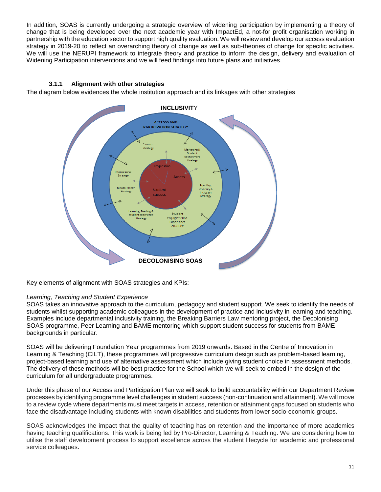In addition, SOAS is currently undergoing a strategic overview of widening participation by implementing a theory of change that is being developed over the next academic year with ImpactEd, a not-for profit organisation working in partnership with the education sector to support high quality evaluation. We will review and develop our access evaluation strategy in 2019-20 to reflect an overarching theory of change as well as sub-theories of change for specific activities. We will use the NERUPI framework to integrate theory and practice to inform the design, delivery and evaluation of Widening Participation interventions and we will feed findings into future plans and initiatives.

#### **3.1.1 Alignment with other strategies**

The diagram below evidences the whole institution approach and its linkages with other strategies



Key elements of alignment with SOAS strategies and KPIs:

#### *Learning, Teaching and Student Experience*

SOAS takes an innovative approach to the curriculum, pedagogy and student support. We seek to identify the needs of students whilst supporting academic colleagues in the development of practice and inclusivity in learning and teaching. Examples include departmental inclusivity training, the Breaking Barriers Law mentoring project, the Decolonising SOAS programme, Peer Learning and BAME mentoring which support student success for students from BAME backgrounds in particular.

SOAS will be delivering Foundation Year programmes from 2019 onwards. Based in the Centre of Innovation in Learning & Teaching (CILT), these programmes will progressive curriculum design such as problem-based learning, project-based learning and use of alternative assessment which include giving student choice in assessment methods. The delivery of these methods will be best practice for the School which we will seek to embed in the design of the curriculum for all undergraduate programmes.

Under this phase of our Access and Participation Plan we will seek to build accountability within our Department Review processes by identifying programme level challenges in student success (non-continuation and attainment). We will move to a review cycle where departments must meet targets in access, retention or attainment gaps focused on students who face the disadvantage including students with known disabilities and students from lower socio-economic groups.

SOAS acknowledges the impact that the quality of teaching has on retention and the importance of more academics having teaching qualifications. This work is being led by Pro-Director, Learning & Teaching. We are considering how to utilise the staff development process to support excellence across the student lifecycle for academic and professional service colleagues.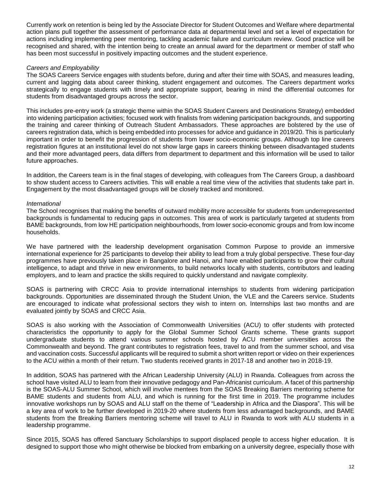Currently work on retention is being led by the Associate Director for Student Outcomes and Welfare where departmental action plans pull together the assessment of performance data at departmental level and set a level of expectation for actions including implementing peer mentoring, tackling academic failure and curriculum review. Good practice will be recognised and shared, with the intention being to create an annual award for the department or member of staff who has been most successful in positively impacting outcomes and the student experience.

#### *Careers and Employability*

The SOAS Careers Service engages with students before, during and after their time with SOAS, and measures leading, current and lagging data about career thinking, student engagement and outcomes. The Careers department works strategically to engage students with timely and appropriate support, bearing in mind the differential outcomes for students from disadvantaged groups across the sector.

This includes pre-entry work (a strategic theme within the SOAS Student Careers and Destinations Strategy) embedded into widening participation activities; focused work with finalists from widening participation backgrounds, and supporting the training and career thinking of Outreach Student Ambassadors. These approaches are bolstered by the use of careers registration data, which is being embedded into processes for advice and guidance in 2019/20. This is particularly important in order to benefit the progression of students from lower socio-economic groups. Although top line careers registration figures at an institutional level do not show large gaps in careers thinking between disadvantaged students and their more advantaged peers, data differs from department to department and this information will be used to tailor future approaches.

In addition, the Careers team is in the final stages of developing, with colleagues from The Careers Group, a dashboard to show student access to Careers activities. This will enable a real time view of the activities that students take part in. Engagement by the most disadvantaged groups will be closely tracked and monitored.

#### *International*

The School recognises that making the benefits of outward mobility more accessible for students from underrepresented backgrounds is fundamental to reducing gaps in outcomes. This area of work is particularly targeted at students from BAME backgrounds, from low HE participation neighbourhoods, from lower socio-economic groups and from low income households.

We have partnered with the leadership development organisation Common Purpose to provide an immersive international experience for 25 participants to develop their ability to lead from a truly global perspective. These four-day programmes have previously taken place in Bangalore and Hanoi, and have enabled participants to grow their cultural intelligence, to adapt and thrive in new environments, to build networks locally with students, contributors and leading employers, and to learn and practice the skills required to quickly understand and navigate complexity.

SOAS is partnering with CRCC Asia to provide international internships to students from widening participation backgrounds. Opportunities are disseminated through the Student Union, the VLE and the Careers service. Students are encouraged to indicate what professional sectors they wish to intern on. Internships last two months and are evaluated jointly by SOAS and CRCC Asia.

SOAS is also working with the Association of Commonwealth Universities (ACU) to offer students with protected characteristics the opportunity to apply for the Global Summer School Grants scheme. These grants support undergraduate students to attend various summer schools hosted by ACU member universities across the Commonwealth and beyond. The grant contributes to registration fees, travel to and from the summer school, and visa and vaccination costs. Successful applicants will be required to submit a short written report or video on their experiences to the ACU within a month of their return. Two students received grants in 2017-18 and another two in 2018-19.

In addition, SOAS has partnered with the African Leadership University (ALU) in Rwanda. Colleagues from across the school have visited ALU to learn from their innovative pedagogy and Pan-Africanist curriculum. A facet of this partnership is the SOAS-ALU Summer School, which will involve mentees from the SOAS Breaking Barriers mentoring scheme for BAME students and students from ALU, and which is running for the first time in 2019. The programme includes innovative workshops run by SOAS and ALU staff on the theme of "Leadership in Africa and the Diaspora". This will be a key area of work to be further developed in 2019-20 where students from less advantaged backgrounds, and BAME students from the Breaking Barriers mentoring scheme will travel to ALU in Rwanda to work with ALU students in a leadership programme.

Since 2015, SOAS has offered Sanctuary Scholarships to support displaced people to access higher education. It is designed to support those who might otherwise be blocked from embarking on a university degree, especially those with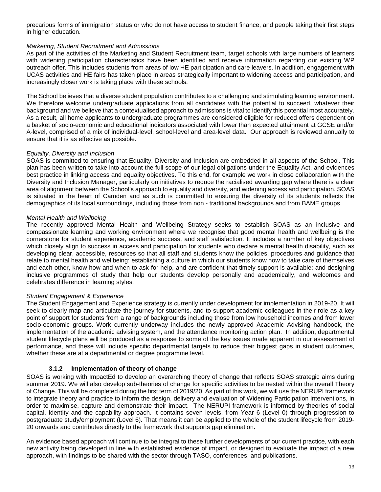precarious forms of immigration status or who do not have access to student finance, and people taking their first steps in higher education.

#### *Marketing, Student Recruitment and Admissions*

As part of the activities of the Marketing and Student Recruitment team, target schools with large numbers of learners with widening participation characteristics have been identified and receive information regarding our existing WP outreach offer. This includes students from areas of low HE participation and care leavers. In addition, engagement with UCAS activities and HE fairs has taken place in areas strategically important to widening access and participation, and increasingly closer work is taking place with these schools.

The School believes that a diverse student population contributes to a challenging and stimulating learning environment. We therefore welcome undergraduate applications from all candidates with the potential to succeed, whatever their background and we believe that a contextualised approach to admissions is vital to identify this potential most accurately. As a result, all home applicants to undergraduate programmes are considered eligible for reduced offers dependent on a basket of socio-economic and educational indicators associated with lower than expected attainment at GCSE and/or A-level, comprised of a mix of individual-level, school-level and area-level data. Our approach is reviewed annually to ensure that it is as effective as possible.

#### *Equality, Diversity and Inclusion*

SOAS is committed to ensuring that Equality, Diversity and Inclusion are embedded in all aspects of the School. This plan has been written to take into account the full scope of our legal obligations under the Equality Act, and evidences best practice in linking access and equality objectives. To this end, for example we work in close collaboration with the Diversity and Inclusion Manager, particularly on initiatives to reduce the racialised awarding gap where there is a clear area of alignment between the School's approach to equality and diversity, and widening access and participation. SOAS is situated in the heart of Camden and as such is committed to ensuring the diversity of its students reflects the demographics of its local surroundings, including those from non - traditional backgrounds and from BAME groups.

#### *Mental Health and Wellbeing*

The recently approved Mental Health and Wellbeing Strategy seeks to establish SOAS as an inclusive and compassionate learning and working environment where we recognise that good mental health and wellbeing is the cornerstone for student experience, academic success, and staff satisfaction. It includes a number of key objectives which closely align to success in access and participation for students who declare a mental health disability, such as developing clear, accessible, resources so that all staff and students know the policies, procedures and guidance that relate to mental health and wellbeing; establishing a culture in which our students know how to take care of themselves and each other, know how and when to ask for help, and are confident that timely support is available; and designing inclusive programmes of study that help our students develop personally and academically, and welcomes and celebrates difference in learning styles.

#### *Student Engagement & Experience*

The Student Engagement and Experience strategy is currently under development for implementation in 2019-20. It will seek to clearly map and articulate the journey for students, and to support academic colleagues in their role as a key point of support for students from a range of backgrounds including those from low household incomes and from lower socio-economic groups. Work currently underway includes the newly approved Academic Advising handbook, the implementation of the academic advising system, and the attendance monitoring action plan. In addition, departmental student lifecycle plans will be produced as a response to some of the key issues made apparent in our assessment of performance, and these will include specific departmental targets to reduce their biggest gaps in student outcomes, whether these are at a departmental or degree programme level.

#### **3.1.2 Implementation of theory of change**

SOAS is working with ImpactEd to develop an overarching theory of change that reflects SOAS strategic aims during summer 2019. We will also develop sub-theories of change for specific activities to be nested within the overall Theory of Change. This will be completed during the first term of 2019/20. As part of this work, we will use the NERUPI framework to integrate theory and practice to inform the design, delivery and evaluation of Widening Participation interventions, in order to maximise, capture and demonstrate their impact. The NERUPI framework is informed by theories of social capital, identity and the capability approach. It contains seven levels, from Year 6 (Level 0) through progression to postgraduate study/employment (Level 6). That means it can be applied to the whole of the student lifecycle from 2019- 20 onwards and contributes directly to the framework that supports gap elimination.

An evidence based approach will continue to be integral to these further developments of our current practice, with each new activity being developed in line with established evidence of impact, or designed to evaluate the impact of a new approach, with findings to be shared with the sector through TASO, conferences, and publications.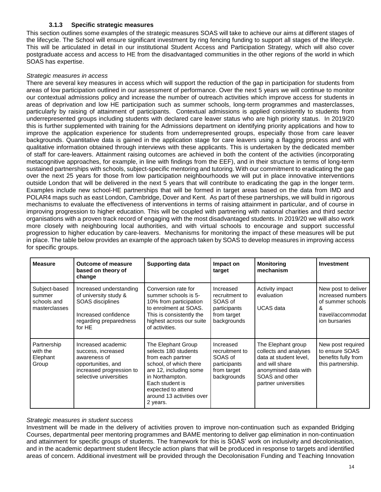#### **3.1.3 Specific strategic measures**

This section outlines some examples of the strategic measures SOAS will take to achieve our aims at different stages of the lifecycle. The School will ensure significant investment by ring fencing funding to support all stages of the lifecycle. This will be articulated in detail in our institutional Student Access and Participation Strategy, which will also cover postgraduate access and access to HE from the disadvantaged communities in the other regions of the world in which SOAS has expertise.

#### *Strategic measures in access*

There are several key measures in access which will support the reduction of the gap in participation for students from areas of low participation outlined in our assessment of performance. Over the next 5 years we will continue to monitor our contextual admissions policy and increase the number of outreach activities which improve access for students in areas of deprivation and low HE participation such as summer schools, long-term programmes and masterclasses, particularly by raising of attainment of participants. Contextual admissions is applied consistently to students from underrepresented groups including students with declared care leaver status who are high priority status. In 2019/20 this is further supplemented with training for the Admissions department on identifying priority applications and how to improve the application experience for students from underrepresented groups, especially those from care leaver backgrounds. Quantitative data is gained in the application stage for care leavers using a flagging process and with qualitative information obtained through interviews with these applicants. This is undertaken by the dedicated member of staff for care-leavers. Attainment raising outcomes are achieved in both the content of the activities (incorporating metacognitive approaches, for example, in line with findings from the EEF), and in their structure in terms of long-term sustained partnerships with schools, subject-specific mentoring and tutoring. With our commitment to eradicating the gap over the next 25 years for those from low participation neighbourhoods we will put in place innovative interventions outside London that will be delivered in the next 5 years that will contribute to eradicating the gap in the longer term. Examples include new school-HE partnerships that will be formed in target areas based on the data from IMD and POLAR4 maps such as east London, Cambridge, Dover and Kent. As part of these partnerships, we will build in rigorous mechanisms to evaluate the effectiveness of interventions in terms of raising attainment in particular, and of course in improving progression to higher education. This will be coupled with partnering with national charities and third sector organisations with a proven track record of engaging with the most disadvantaged students. In 2019/20 we will also work more closely with neighbouring local authorities, and with virtual schools to encourage and support successful progression to higher education by care-leavers. Mechanisms for monitoring the impact of these measures will be put in place. The table below provides an example of the approach taken by SOAS to develop measures in improving access for specific groups.

| <b>Measure</b>                                          | <b>Outcome of measure</b><br>based on theory of<br>change                                                                            | <b>Supporting data</b>                                                                                                                                                                                                   | Impact on<br>target                                                                  | <b>Monitoring</b><br>mechanism                                                                                                                            | <b>Investment</b>                                                                                        |
|---------------------------------------------------------|--------------------------------------------------------------------------------------------------------------------------------------|--------------------------------------------------------------------------------------------------------------------------------------------------------------------------------------------------------------------------|--------------------------------------------------------------------------------------|-----------------------------------------------------------------------------------------------------------------------------------------------------------|----------------------------------------------------------------------------------------------------------|
| Subject-based<br>summer<br>schools and<br>masterclasses | Increased understanding<br>of university study &<br>SOAS disciplines<br>Increased confidence<br>regarding preparedness<br>for HE     | Conversion rate for<br>summer schools is 5-<br>10% from participation<br>to enrolment at SOAS.<br>This is consistently the<br>highest across our suite<br>of activities.                                                 | Increased<br>recruitment to<br>SOAS of<br>participants<br>from target<br>backgrounds | Activity impact<br>evaluation<br>UCAS data                                                                                                                | New post to deliver<br>increased numbers<br>of summer schools<br>&<br>travel/accommodat<br>ion bursaries |
| Partnership<br>with the<br>Elephant<br>Group            | Increased academic<br>success, increased<br>awareness of<br>opportunities, and<br>increased progression to<br>selective universities | The Elephant Group<br>selects 180 students<br>from each partner<br>school, of which there<br>are 12, including some<br>in Northampton.<br>Each student is<br>expected to attend<br>around 13 activities over<br>2 years. | Increased<br>recruitment to<br>SOAS of<br>participants<br>from target<br>backgrounds | The Elephant group<br>collects and analyses<br>data at student level.<br>and will share<br>anonymised data with<br>SOAS and other<br>partner universities | New post required<br>to ensure SOAS<br>benefits fully from<br>this partnership.                          |

#### *Strategic measures in student success*

Investment will be made in the delivery of activities proven to improve non-continuation such as expanded Bridging Courses, departmental peer mentoring programmes and BAME mentoring to deliver gap elimination in non-continuation and attainment for specific groups of students. The framework for this is SOAS' work on inclusivity and decolonisation, and in the academic department student lifecycle action plans that will be produced in response to targets and identified areas of concern. Additional investment will be provided through the Decolonisation Funding and Teaching Innovation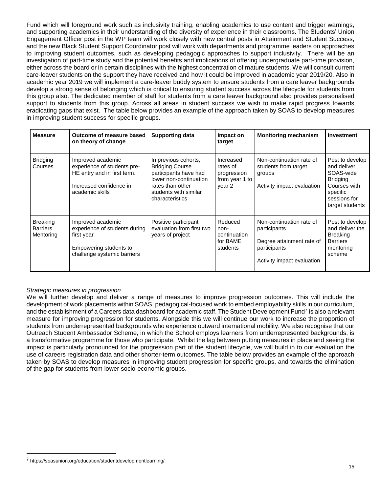Fund which will foreground work such as inclusivity training, enabling academics to use content and trigger warnings, and supporting academics in their understanding of the diversity of experience in their classrooms. The Students' Union Engagement Officer post in the WP team will work closely with new central posts in Attainment and Student Success, and the new Black Student Support Coordinator post will work with departments and programme leaders on approaches to improving student outcomes, such as developing pedagogic approaches to support inclusivity. There will be an investigation of part-time study and the potential benefits and implications of offering undergraduate part-time provision, either across the board or in certain disciplines with the highest concentration of mature students. We will consult current care-leaver students on the support they have received and how it could be improved in academic year 2019/20. Also in academic year 2019 we will implement a care-leaver buddy system to ensure students from a care leaver backgrounds develop a strong sense of belonging which is critical to ensuring student success across the lifecycle for students from this group also. The dedicated member of staff for students from a care leaver background also provides personalised support to students from this group. Across all areas in student success we wish to make rapid progress towards eradicating gaps that exist. The table below provides an example of the approach taken by SOAS to develop measures in improving student success for specific groups.

| <b>Measure</b>                                  | Outcome of measure based<br>on theory of change                                                                               | <b>Supporting data</b>                                                                                                                                            | Impact on<br>target                                              | <b>Monitoring mechanism</b>                                                                                         | <b>Investment</b>                                                                                                             |
|-------------------------------------------------|-------------------------------------------------------------------------------------------------------------------------------|-------------------------------------------------------------------------------------------------------------------------------------------------------------------|------------------------------------------------------------------|---------------------------------------------------------------------------------------------------------------------|-------------------------------------------------------------------------------------------------------------------------------|
| <b>Bridging</b><br>Courses                      | Improved academic<br>experience of students pre-<br>HE entry and in first term.<br>Increased confidence in<br>academic skills | In previous cohorts,<br><b>Bridging Course</b><br>participants have had<br>lower non-continuation<br>rates than other<br>students with similar<br>characteristics | Increased<br>rates of<br>progression<br>from year 1 to<br>year 2 | Non-continuation rate of<br>students from target<br>groups<br>Activity impact evaluation                            | Post to develop<br>and deliver<br>SOAS-wide<br><b>Bridging</b><br>Courses with<br>specific<br>sessions for<br>target students |
| <b>Breaking</b><br><b>Barriers</b><br>Mentoring | Improved academic<br>experience of students during<br>first year<br>Empowering students to<br>challenge systemic barriers     | Positive participant<br>evaluation from first two<br>years of project                                                                                             | Reduced<br>non-<br>continuation<br>for BAME<br>students          | Non-continuation rate of<br>participants<br>Degree attainment rate of<br>participants<br>Activity impact evaluation | Post to develop<br>and deliver the<br><b>Breaking</b><br><b>Barriers</b><br>mentoring<br>scheme                               |

#### *Strategic measures in progression*

We will further develop and deliver a range of measures to improve progression outcomes. This will include the development of work placements within SOAS, pedagogical-focused work to embed employability skills in our curriculum, and the establishment of a Careers data dashboard for academic staff. The Student Development Fund<sup>7</sup> is also a relevant measure for improving progression for students. Alongside this we will continue our work to increase the proportion of students from underrepresented backgrounds who experience outward international mobility. We also recognise that our Outreach Student Ambassador Scheme, in which the School employs learners from underrepresented backgrounds, is a transformative programme for those who participate. Whilst the lag between putting measures in place and seeing the impact is particularly pronounced for the progression part of the student lifecycle, we will build in to our evaluation the use of careers registration data and other shorter-term outcomes. The table below provides an example of the approach taken by SOAS to develop measures in improving student progression for specific groups, and towards the elimination of the gap for students from lower socio-economic groups.

 $\overline{a}$ 

<sup>7</sup> https://soasunion.org/education/studentdevelopmentlearning/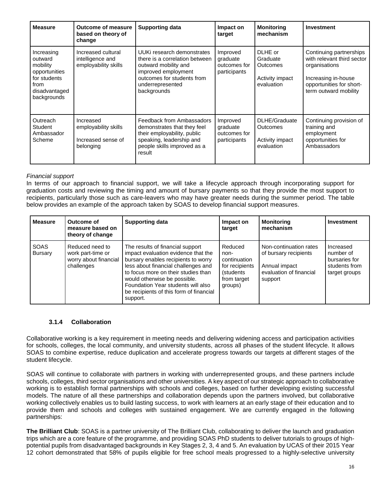| <b>Measure</b>                                                                                             | <b>Outcome of measure</b><br>based on theory of<br>change            | <b>Supporting data</b>                                                                                                                                                       | Impact on<br>target                                  | <b>Monitoring</b><br>mechanism                                    | <b>Investment</b>                                                                                                                                  |
|------------------------------------------------------------------------------------------------------------|----------------------------------------------------------------------|------------------------------------------------------------------------------------------------------------------------------------------------------------------------------|------------------------------------------------------|-------------------------------------------------------------------|----------------------------------------------------------------------------------------------------------------------------------------------------|
| Increasing<br>outward<br>mobility<br>opportunities<br>for students<br>from<br>disadvantaged<br>backgrounds | Increased cultural<br>intelligence and<br>employability skills       | UUKi research demonstrates<br>there is a correlation between<br>outward mobility and<br>improved employment<br>outcomes for students from<br>underrepresented<br>backgrounds | Improved<br>graduate<br>outcomes for<br>participants | DLHE or<br>Graduate<br>Outcomes<br>Activity impact<br>evaluation  | Continuing partnerships<br>with relevant third sector<br>organisations<br>Increasing in-house<br>opportunities for short-<br>term outward mobility |
| Outreach<br>Student<br>Ambassador<br>Scheme                                                                | Increased<br>employability skills<br>Increased sense of<br>belonging | Feedback from Ambassadors<br>demonstrates that they feel<br>their employability, public<br>speaking, leadership and<br>people skills improved as a<br>result                 | Improved<br>graduate<br>outcomes for<br>participants | DLHE/Graduate<br><b>Outcomes</b><br>Activity impact<br>evaluation | Continuing provision of<br>training and<br>employment<br>opportunities for<br>Ambassadors                                                          |

#### *Financial support*

In terms of our approach to financial support, we will take a lifecycle approach through incorporating support for graduation costs and reviewing the timing and amount of bursary payments so that they provide the most support to recipients, particularly those such as care-leavers who may have greater needs during the summer period. The table below provides an example of the approach taken by SOAS to develop financial support measures.

| <b>Measure</b>         | Outcome of<br>measure based on<br>theory of change                          | <b>Supporting data</b>                                                                                                                                                                                                                                                                                                    | Impact on<br>target                                                                      | <b>Monitoring</b><br>mechanism                                                                         | <b>Investment</b>                                                         |
|------------------------|-----------------------------------------------------------------------------|---------------------------------------------------------------------------------------------------------------------------------------------------------------------------------------------------------------------------------------------------------------------------------------------------------------------------|------------------------------------------------------------------------------------------|--------------------------------------------------------------------------------------------------------|---------------------------------------------------------------------------|
| <b>SOAS</b><br>Bursary | Reduced need to<br>work part-time or<br>worry about financial<br>challenges | The results of financial support<br>impact evaluation evidence that the<br>bursary enables recipients to worry<br>less about financial challenges and<br>to focus more on their studies than<br>would otherwise be possible.<br>Foundation Year students will also<br>be recipients of this form of financial<br>support. | Reduced<br>non-<br>continuation<br>for recipients<br>(students<br>from target<br>groups) | Non-continuation rates<br>of bursary recipients<br>Annual impact<br>evaluation of financial<br>support | Increased<br>number of<br>bursaries for<br>students from<br>target groups |

#### **3.1.4 Collaboration**

Collaborative working is a key requirement in meeting needs and delivering widening access and participation activities for schools, colleges, the local community, and university students, across all phases of the student lifecycle. It allows SOAS to combine expertise, reduce duplication and accelerate progress towards our targets at different stages of the student lifecycle.

SOAS will continue to collaborate with partners in working with underrepresented groups, and these partners include schools, colleges, third sector organisations and other universities. A key aspect of our strategic approach to collaborative working is to establish formal partnerships with schools and colleges, based on further developing existing successful models. The nature of all these partnerships and collaboration depends upon the partners involved, but collaborative working collectively enables us to build lasting success, to work with learners at an early stage of their education and to provide them and schools and colleges with sustained engagement. We are currently engaged in the following partnerships:

**The Brilliant Club**: SOAS is a partner university of The Brilliant Club, collaborating to deliver the launch and graduation trips which are a core feature of the programme, and providing SOAS PhD students to deliver tutorials to groups of highpotential pupils from disadvantaged backgrounds in Key Stages 2, 3, 4 and 5. An evaluation by UCAS of their 2015 Year 12 cohort demonstrated that 58% of pupils eligible for free school meals progressed to a highly-selective university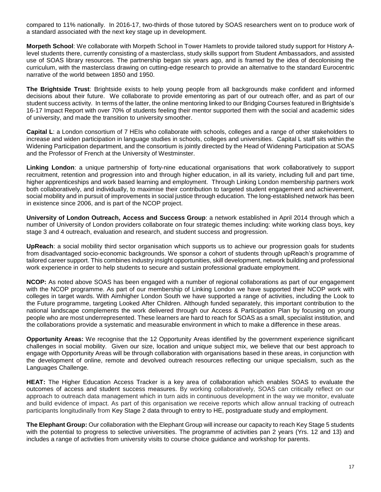compared to 11% nationally. In 2016-17, two-thirds of those tutored by SOAS researchers went on to produce work of a standard associated with the next key stage up in development.

**Morpeth School**: We collaborate with Morpeth School in Tower Hamlets to provide tailored study support for History Alevel students there, currently consisting of a masterclass, study skills support from Student Ambassadors, and assisted use of SOAS library resources. The partnership began six years ago, and is framed by the idea of decolonising the curriculum, with the masterclass drawing on cutting-edge research to provide an alternative to the standard Eurocentric narrative of the world between 1850 and 1950.

**The Brightside Trust**: Brightside exists to help young people from all backgrounds make confident and informed decisions about their future. We collaborate to provide ementoring as part of our outreach offer, and as part of our student success activity. In terms of the latter, the online mentoring linked to our Bridging Courses featured in Brightside's 16-17 Impact Report with over 70% of students feeling their mentor supported them with the social and academic sides of university, and made the transition to university smoother.

**Capital L**: a London consortium of 7 HEIs who collaborate with schools, colleges and a range of other stakeholders to increase and widen participation in language studies in schools, colleges and universities. Capital L staff sits within the Widening Participation department, and the consortium is jointly directed by the Head of Widening Participation at SOAS and the Professor of French at the University of Westminster.

**Linking London**: a unique partnership of forty-nine educational organisations that work collaboratively to support recruitment, retention and progression into and through higher education, in all its variety, including full and part time, higher apprenticeships and work based learning and employment. Through Linking London membership partners work both collaboratively, and individually, to maximise their contribution to targeted student engagement and achievement, social mobility and in pursuit of improvements in social justice through education. The long-established network has been in existence since 2006, and is part of the NCOP project.

**University of London Outreach, Access and Success Group**: a network established in April 2014 through which a number of University of London providers collaborate on four strategic themes including: white working class boys, key stage 3 and 4 outreach, evaluation and research, and student success and progression.

**UpReach**: a social mobility third sector organisation which supports us to achieve our progression goals for students from disadvantaged socio-economic backgrounds. We sponsor a cohort of students through upReach's programme of tailored career support. This combines industry insight opportunities, skill development, network building and professional work experience in order to help students to secure and sustain professional graduate employment.

**NCOP:** As noted above SOAS has been engaged with a number of regional collaborations as part of our engagement with the NCOP programme. As part of our membership of Linking London we have supported their NCOP work with colleges in target wards. With Aimhigher London South we have supported a range of activities, including the Look to the Future programme, targeting Looked After Children. Although funded separately, this important contribution to the national landscape complements the work delivered through our Access & Participation Plan by focusing on young people who are most underrepresented. These learners are hard to reach for SOAS as a small, specialist institution, and the collaborations provide a systematic and measurable environment in which to make a difference in these areas.

**Opportunity Areas:** We recognise that the 12 Opportunity Areas identified by the government experience significant challenges in social mobility. Given our size, location and unique subject mix, we believe that our best approach to engage with Opportunity Areas will be through collaboration with organisations based in these areas, in conjunction with the development of online, remote and devolved outreach resources reflecting our unique specialism, such as the Languages Challenge.

**HEAT:** The Higher Education Access Tracker is a key area of collaboration which enables SOAS to evaluate the outcomes of access and student success measures. By working collaboratively, SOAS can critically reflect on our approach to outreach data management which in turn aids in continuous development in the way we monitor, evaluate and build evidence of impact. As part of this organisation we receive reports which allow annual tracking of outreach participants longitudinally from Key Stage 2 data through to entry to HE, postgraduate study and employment.

**The Elephant Group:** Our collaboration with the Elephant Group will increase our capacity to reach Key Stage 5 students with the potential to progress to selective universities. The programme of activities pan 2 years (Yrs. 12 and 13) and includes a range of activities from university visits to course choice guidance and workshop for parents.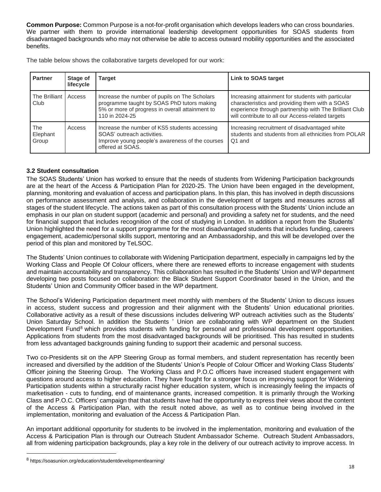**Common Purpose:** Common Purpose is a not-for-profit organisation which develops leaders who can cross boundaries. We partner with them to provide international leadership development opportunities for SOAS students from disadvantaged backgrounds who may not otherwise be able to access outward mobility opportunities and the associated benefits.

The table below shows the collaborative targets developed for our work:

| <b>Partner</b>           | Stage of<br>lifecycle | Target                                                                                                                                                           | <b>Link to SOAS target</b>                                                                                                                                                                                          |
|--------------------------|-----------------------|------------------------------------------------------------------------------------------------------------------------------------------------------------------|---------------------------------------------------------------------------------------------------------------------------------------------------------------------------------------------------------------------|
| The Brilliant<br>Club    | Access                | Increase the number of pupils on The Scholars<br>programme taught by SOAS PhD tutors making<br>5% or more of progress in overall attainment to<br>110 in 2024-25 | Increasing attainment for students with particular<br>characteristics and providing them with a SOAS<br>experience through partnership with The Brilliant Club<br>will contribute to all our Access-related targets |
| The<br>Elephant<br>Group | Access                | Increase the number of KS5 students accessing<br>SOAS' outreach activities.<br>Improve young people's awareness of the courses<br>offered at SOAS.               | Increasing recruitment of disadvantaged white<br>students and students from all ethnicities from POLAR<br>Q1 and                                                                                                    |

#### **3.2 Student consultation**

The SOAS Students' Union has worked to ensure that the needs of students from Widening Participation backgrounds are at the heart of the Access & Participation Plan for 2020-25. The Union have been engaged in the development, planning, monitoring and evaluation of access and participation plans. In this plan, this has involved in depth discussions on performance assessment and analysis, and collaboration in the development of targets and measures across all stages of the student lifecycle. The actions taken as part of this consultation process with the Students' Union include an emphasis in our plan on student support (academic and personal) and providing a safety net for students, and the need for financial support that includes recognition of the cost of studying in London. In addition a report from the Students' Union highlighted the need for a support programme for the most disadvantaged students that includes funding, careers engagement, academic/personal skills support, mentoring and an Ambassadorship, and this will be developed over the period of this plan and monitored by TeLSOC.

The Students' Union continues to collaborate with Widening Participation department, especially in campaigns led by the Working Class and People Of Colour officers, where there are renewed efforts to increase engagement with students and maintain accountability and transparency. This collaboration has resulted in the Students' Union and WP department developing two posts focused on collaboration: the Black Student Support Coordinator based in the Union, and the Students' Union and Community Officer based in the WP department.

The School's Widening Participation department meet monthly with members of the Students' Union to discuss issues in access, student success and progression and their alignment with the Students' Union educational priorities. Collaborative activity as a result of these discussions includes delivering WP outreach activities such as the Students' Union Saturday School. In addition the Students ' Union are collaborating with WP department on the Student Development Fund<sup>8</sup> which provides students with funding for personal and professional development opportunities. Applications from students from the most disadvantaged backgrounds will be prioritised. This has resulted in students from less advantaged backgrounds gaining funding to support their academic and personal success.

Two co-Presidents sit on the APP Steering Group as formal members, and student representation has recently been increased and diversified by the addition of the Students' Union's People of Colour Officer and Working Class Students' Officer joining the Steering Group. The Working Class and P.O.C officers have increased student engagement with questions around access to higher education. They have fought for a stronger focus on improving support for Widening Participation students within a structurally racist higher education system, which is increasingly feeling the impacts of marketisation - cuts to funding, end of maintenance grants, increased competition. It is primarily through the Working Class and P.O.C. Officers' campaign that that students have had the opportunity to express their views about the content of the Access & Participation Plan, with the result noted above, as well as to continue being involved in the implementation, monitoring and evaluation of the Access & Participation Plan.

An important additional opportunity for students to be involved in the implementation, monitoring and evaluation of the Access & Participation Plan is through our Outreach Student Ambassador Scheme. Outreach Student Ambassadors, all from widening participation backgrounds, play a key role in the delivery of our outreach activity to improve access. In

 $\overline{a}$ 

<sup>8</sup> https://soasunion.org/education/studentdevelopmentlearning/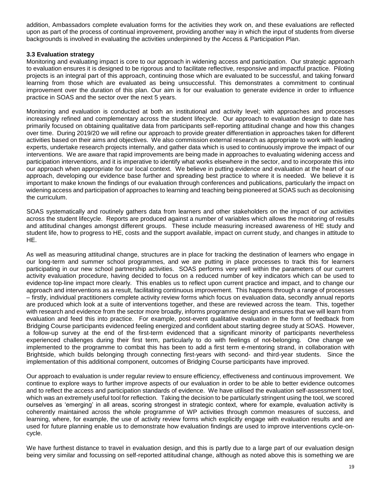addition, Ambassadors complete evaluation forms for the activities they work on, and these evaluations are reflected upon as part of the process of continual improvement, providing another way in which the input of students from diverse backgrounds is involved in evaluating the activities underpinned by the Access & Participation Plan.

#### **3.3 Evaluation strategy**

Monitoring and evaluating impact is core to our approach in widening access and participation. Our strategic approach to evaluation ensures it is designed to be rigorous and to facilitate reflective, responsive and impactful practice. Piloting projects is an integral part of this approach, continuing those which are evaluated to be successful, and taking forward learning from those which are evaluated as being unsuccessful. This demonstrates a commitment to continual improvement over the duration of this plan. Our aim is for our evaluation to generate evidence in order to influence practice in SOAS and the sector over the next 5 years.

Monitoring and evaluation is conducted at both an institutional and activity level; with approaches and processes increasingly refined and complementary across the student lifecycle. Our approach to evaluation design to date has primarily focused on obtaining qualitative data from participants self-reporting attitudinal change and how this changes over time. During 2019/20 we will refine our approach to provide greater differentiation in approaches taken for different activities based on their aims and objectives. We also commission external research as appropriate to work with leading experts, undertake research projects internally, and gather data which is used to continuously improve the impact of our interventions. We are aware that rapid improvements are being made in approaches to evaluating widening access and participation interventions, and it is imperative to identify what works elsewhere in the sector, and to incorporate this into our approach when appropriate for our local context. We believe in putting evidence and evaluation at the heart of our approach, developing our evidence base further and spreading best practice to where it is needed. We believe it is important to make known the findings of our evaluation through conferences and publications, particularly the impact on widening access and participation of approaches to learning and teaching being pioneered at SOAS such as decolonising the curriculum.

SOAS systematically and routinely gathers data from learners and other stakeholders on the impact of our activities across the student lifecycle. Reports are produced against a number of variables which allows the monitoring of results and attitudinal changes amongst different groups. These include measuring increased awareness of HE study and student life, how to progress to HE, costs and the support available, impact on current study, and changes in attitude to HE.

As well as measuring attitudinal change, structures are in place for tracking the destination of learners who engage in our long-term and summer school programmes, and we are putting in place processes to track this for learners participating in our new school partnership activities. SOAS performs very well within the parameters of our current activity evaluation procedure, having decided to focus on a reduced number of key indicators which can be used to evidence top-line impact more clearly. This enables us to reflect upon current practice and impact, and to change our approach and interventions as a result, facilitating continuous improvement. This happens through a range of processes – firstly, individual practitioners complete activity review forms which focus on evaluation data, secondly annual reports are produced which look at a suite of interventions together, and these are reviewed across the team. This, together with research and evidence from the sector more broadly, informs programme design and ensures that we will learn from evaluation and feed this into practice. For example, post-event qualitative evaluation in the form of feedback from Bridging Course participants evidenced feeling energized and confident about starting degree study at SOAS. However, a follow-up survey at the end of the first-term evidenced that a significant minority of participants nevertheless experienced challenges during their first term, particularly to do with feelings of not-belonging. One change we implemented to the programme to combat this has been to add a first term e-mentoring strand, in collaboration with Brightside, which builds belonging through connecting first-years with second- and third-year students. Since the implementation of this additional component, outcomes of Bridging Course participants have improved.

Our approach to evaluation is under regular review to ensure efficiency, effectiveness and continuous improvement. We continue to explore ways to further improve aspects of our evaluation in order to be able to better evidence outcomes and to reflect the access and participation standards of evidence. We have utilised the evaluation self-assessment tool, which was an extremely useful tool for reflection. Taking the decision to be particularly stringent using the tool, we scored ourselves as 'emerging' in all areas, scoring strongest in strategic context, where for example, evaluation activity is coherently maintained across the whole programme of WP activities through common measures of success, and learning, where, for example, the use of activity review forms which explicitly engage with evaluation results and are used for future planning enable us to demonstrate how evaluation findings are used to improve interventions cycle-oncycle.

We have furthest distance to travel in evaluation design, and this is partly due to a large part of our evaluation design being very similar and focussing on self-reported attitudinal change, although as noted above this is something we are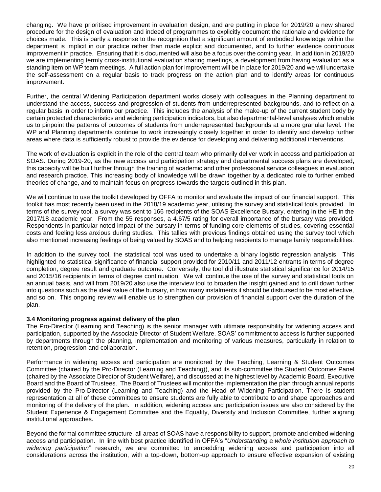changing. We have prioritised improvement in evaluation design, and are putting in place for 2019/20 a new shared procedure for the design of evaluation and indeed of programmes to explicitly document the rationale and evidence for choices made. This is partly a response to the recognition that a significant amount of embodied knowledge within the department is implicit in our practice rather than made explicit and documented, and to further evidence continuous improvement in practice. Ensuring that it is documented will also be a focus over the coming year. In addition in 2019/20 we are implementing termly cross-institutional evaluation sharing meetings, a development from having evaluation as a standing item on WP team meetings. A full action plan for improvement will be in place for 2019/20 and we will undertake the self-assessment on a regular basis to track progress on the action plan and to identify areas for continuous improvement.

Further, the central Widening Participation department works closely with colleagues in the Planning department to understand the access, success and progression of students from underrepresented backgrounds, and to reflect on a regular basis in order to inform our practice. This includes the analysis of the make-up of the current student body by certain protected characteristics and widening participation indicators, but also departmental-level analyses which enable us to pinpoint the patterns of outcomes of students from underrepresented backgrounds at a more granular level. The WP and Planning departments continue to work increasingly closely together in order to identify and develop further areas where data is sufficiently robust to provide the evidence for developing and delivering additional interventions.

The work of evaluation is explicit in the role of the central team who primarily deliver work in access and participation at SOAS. During 2019-20, as the new access and participation strategy and departmental success plans are developed, this capacity will be built further through the training of academic and other professional service colleagues in evaluation and research practice. This increasing body of knowledge will be drawn together by a dedicated role to further embed theories of change, and to maintain focus on progress towards the targets outlined in this plan.

We will continue to use the toolkit developed by OFFA to monitor and evaluate the impact of our financial support. This toolkit has most recently been used in the 2018/19 academic year, utilising the survey and statistical tools provided. In terms of the survey tool, a survey was sent to 166 recipients of the SOAS Excellence Bursary, entering in the HE in the 2017/18 academic year. From the 55 responses, a 4.67/5 rating for overall importance of the bursary was provided. Respondents in particular noted impact of the bursary in terms of funding core elements of studies, covering essential costs and feeling less anxious during studies. This tallies with previous findings obtained using the survey tool which also mentioned increasing feelings of being valued by SOAS and to helping recipients to manage family responsibilities.

In addition to the survey tool, the statistical tool was used to undertake a binary logistic regression analysis. This highlighted no statistical significance of financial support provided for 2010/11 and 2011/12 entrants in terms of degree completion, degree result and graduate outcome. Conversely, the tool did illustrate statistical significance for 2014/15 and 2015/16 recipients in terms of degree continuation. We will continue the use of the survey and statistical tools on an annual basis, and will from 2019/20 also use the interview tool to broaden the insight gained and to drill down further into questions such as the ideal value of the bursary, in how many instalments it should be disbursed to be most effective, and so on. This ongoing review will enable us to strengthen our provision of financial support over the duration of the plan.

#### **3.4 Monitoring progress against delivery of the plan**

The Pro-Director (Learning and Teaching) is the senior manager with ultimate responsibility for widening access and participation, supported by the Associate Director of Student Welfare. SOAS' commitment to access is further supported by departments through the planning, implementation and monitoring of various measures, particularly in relation to retention, progression and collaboration.

Performance in widening access and participation are monitored by the Teaching, Learning & Student Outcomes Committee (chaired by the Pro-Director (Learning and Teaching)), and its sub-committee the Student Outcomes Panel (chaired by the Associate Director of Student Welfare), and discussed at the highest level by Academic Board, Executive Board and the Board of Trustees. The Board of Trustees will monitor the implementation the plan through annual reports provided by the Pro-Director (Learning and Teaching) and the Head of Widening Participation. There is student representation at all of these committees to ensure students are fully able to contribute to and shape approaches and monitoring of the delivery of the plan. In addition, widening access and participation issues are also considered by the Student Experience & Engagement Committee and the Equality, Diversity and Inclusion Committee, further aligning institutional approaches.

Beyond the formal committee structure, all areas of SOAS have a responsibility to support, promote and embed widening access and participation. In line with best practice identified in OFFA's "*Understanding a whole institution approach to widening participation*" research, we are committed to embedding widening access and participation into all considerations across the institution, with a top-down, bottom-up approach to ensure effective expansion of existing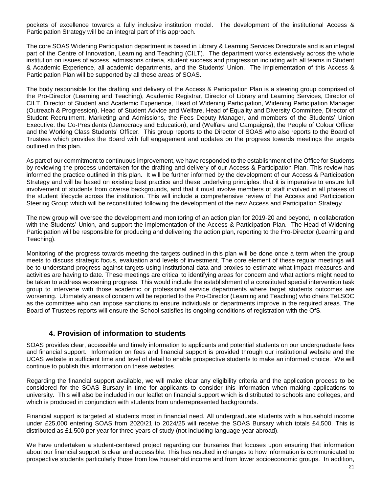pockets of excellence towards a fully inclusive institution model. The development of the institutional Access & Participation Strategy will be an integral part of this approach.

The core SOAS Widening Participation department is based in Library & Learning Services Directorate and is an integral part of the Centre of Innovation, Learning and Teaching (CILT). The department works extensively across the whole institution on issues of access, admissions criteria, student success and progression including with all teams in Student & Academic Experience, all academic departments, and the Students' Union. The implementation of this Access & Participation Plan will be supported by all these areas of SOAS.

The body responsible for the drafting and delivery of the Access & Participation Plan is a steering group comprised of the Pro-Director (Learning and Teaching), Academic Registrar, Director of Library and Learning Services, Director of CILT, Director of Student and Academic Experience, Head of Widening Participation, Widening Participation Manager (Outreach & Progression), Head of Student Advice and Welfare, Head of Equality and Diversity Committee, Director of Student Recruitment, Marketing and Admissions, the Fees Deputy Manager, and members of the Students' Union Executive: the Co-Presidents (Democracy and Education), and (Welfare and Campaigns), the People of Colour Officer and the Working Class Students' Officer. This group reports to the Director of SOAS who also reports to the Board of Trustees which provides the Board with full engagement and updates on the progress towards meetings the targets outlined in this plan.

As part of our commitment to continuous improvement, we have responded to the establishment of the Office for Students by reviewing the process undertaken for the drafting and delivery of our Access & Participation Plan. This review has informed the practice outlined in this plan. It will be further informed by the development of our Access & Participation Strategy and will be based on existing best practice and these underlying principles: that it is imperative to ensure full involvement of students from diverse backgrounds, and that it must involve members of staff involved in all phases of the student lifecycle across the institution. This will include a comprehensive review of the Access and Participation Steering Group which will be reconstituted following the development of the new Access and Participation Strategy.

The new group will oversee the development and monitoring of an action plan for 2019-20 and beyond, in collaboration with the Students' Union, and support the implementation of the Access & Participation Plan. The Head of Widening Participation will be responsible for producing and delivering the action plan, reporting to the Pro-Director (Learning and Teaching).

Monitoring of the progress towards meeting the targets outlined in this plan will be done once a term when the group meets to discuss strategic focus, evaluation and levels of investment. The core element of these regular meetings will be to understand progress against targets using institutional data and proxies to estimate what impact measures and activities are having to date. These meetings are critical to identifying areas for concern and what actions might need to be taken to address worsening progress. This would include the establishment of a constituted special intervention task group to intervene with those academic or professional service departments where target students outcomes are worsening. Ultimately areas of concern will be reported to the Pro-Director (Learning and Teaching) who chairs TeLSOC as the committee who can impose sanctions to ensure individuals or departments improve in the required areas. The Board of Trustees reports will ensure the School satisfies its ongoing conditions of registration with the OfS.

#### **4. Provision of information to students**

SOAS provides clear, accessible and timely information to applicants and potential students on our undergraduate fees and financial support. Information on fees and financial support is provided through our institutional website and the UCAS website in sufficient time and level of detail to enable prospective students to make an informed choice. We will continue to publish this information on these websites.

Regarding the financial support available, we will make clear any eligibility criteria and the application process to be considered for the SOAS Bursary in time for applicants to consider this information when making applications to university. This will also be included in our leaflet on financial support which is distributed to schools and colleges, and which is produced in conjunction with students from underrepresented backgrounds.

Financial support is targeted at students most in financial need. All undergraduate students with a household income under £25,000 entering SOAS from 2020/21 to 2024/25 will receive the SOAS Bursary which totals £4,500. This is distributed as £1,500 per year for three years of study (not including language year abroad).

We have undertaken a student-centered project regarding our bursaries that focuses upon ensuring that information about our financial support is clear and accessible. This has resulted in changes to how information is communicated to prospective students particularly those from low household income and from lower socioeconomic groups. In addition,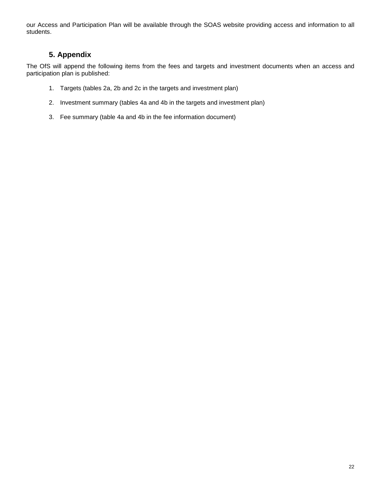our Access and Participation Plan will be available through the SOAS website providing access and information to all students.

### **5. Appendix**

The OfS will append the following items from the fees and targets and investment documents when an access and participation plan is published:

- 1. Targets (tables 2a, 2b and 2c in the targets and investment plan)
- 2. Investment summary (tables 4a and 4b in the targets and investment plan)
- 3. Fee summary (table 4a and 4b in the fee information document)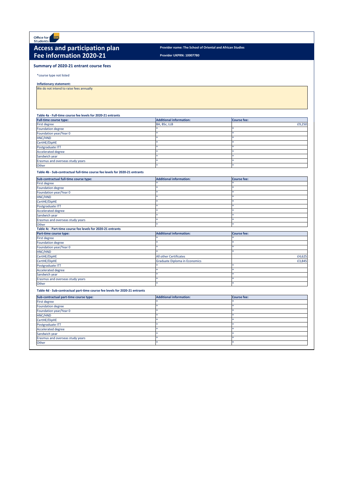**Provider UKPRN: 10007780**

\*course type not listed

**Inflationary statement:** 

We do not intend to raise fees annually

## **Table 4a - Full-time course fee levels for 2020-21 entrants**

| <b>Full-time course type:</b>    | Additional information: | Course fee: |
|----------------------------------|-------------------------|-------------|
| First degree                     | BA, BSc, LLB            | £9,250      |
| <b>Foundation degree</b>         |                         |             |
| Foundation year/Year 0           |                         |             |
| HNC/HND                          |                         |             |
| CertHE/DipHE                     |                         |             |
| Postgraduate ITT                 |                         |             |
| Accelerated degree               |                         |             |
| Sandwich year                    |                         |             |
| Erasmus and overseas study years |                         |             |
| <b>Other</b>                     |                         |             |

### **Table 4b - Sub-contractual full-time course fee levels for 2020-21 entrants**



# Access and participation plan *Provider name: The School of Oriental and African Studies* **Fee information 2020-21**

| Sub-contractual full-time course type:                      | <b>Additional information:</b>       | <b>Course fee:</b> |
|-------------------------------------------------------------|--------------------------------------|--------------------|
| <b>First degree</b>                                         |                                      |                    |
| <b>Foundation degree</b>                                    |                                      |                    |
| Foundation year/Year 0                                      |                                      |                    |
| HNC/HND                                                     |                                      |                    |
| CertHE/DipHE                                                |                                      |                    |
| Postgraduate ITT                                            |                                      |                    |
| <b>Accelerated degree</b>                                   |                                      |                    |
| Sandwich year                                               |                                      |                    |
| Erasmus and overseas study years                            |                                      |                    |
| Other                                                       |                                      | <b>sk</b>          |
| Table 4c - Part-time course fee levels for 2020-21 entrants |                                      |                    |
|                                                             |                                      |                    |
| Part-time course type:                                      | <b>Additional information:</b>       | <b>Course fee:</b> |
| <b>First degree</b>                                         |                                      |                    |
| Foundation degree                                           |                                      |                    |
| Foundation year/Year 0                                      |                                      |                    |
| HNC/HND                                                     |                                      |                    |
| CertHE/DipHE                                                | All other Certificates               | £4,625             |
| CertHE/DipHE                                                | <b>Graduate Diploma in Economics</b> | £3,845             |
| Postgraduate ITT                                            |                                      |                    |
| <b>Accelerated degree</b>                                   |                                      |                    |
| Sandwich year                                               |                                      |                    |
| Erasmus and overseas study years                            |                                      |                    |

**Table 4d - Sub-contractual part-time course fee levels for 2020-21 entrants**

## **Summary of 2020-21 entrant course fees**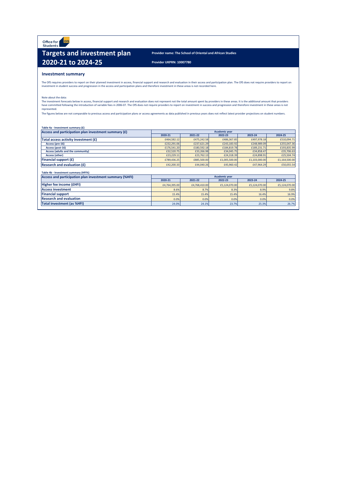Office for ofs<br>Students

# **Targets and investment plan** Provider name: The School of Oriental and African Studies **2020-21 to 2024-25** Provider UKPRN: 10007780

## **Investment summary**

|--|

The OfS requires providers to report on their planned investment in access, financial support and research and evaluation in their access and participation plan. The OfS does not require providers to report on investment in student success and progression in the access and participation plans and therefore investment in these areas is not recorded here.

The investment forecasts below in access, financial support and research and evaluation does not represent not the total amount spent by providers in these areas. It is the additional amount that providers have committed following the introduction of variable fees in 2006-07. The OfS does not require providers to report on investment in success and progression and therefore investment in these areas is not represented.

The figures below are not comparable to previous access and participation plans or access agreements as data published in previous years does not reflect latest provider projections on student numbers.

| Access and participation plan investment summary (£) |             | <b>Academic year</b> |               |               |               |  |  |  |  |  |  |
|------------------------------------------------------|-------------|----------------------|---------------|---------------|---------------|--|--|--|--|--|--|
|                                                      | 2020-21     | 2021-22              | 2022-23       | 2023-24       | 2024-25       |  |  |  |  |  |  |
| Total access activity investment (£)                 | £464,582.12 | £475,242.58          | £486,367.85   | £497,978.18   | £510,094.71   |  |  |  |  |  |  |
| Access (pre-16)                                      | £232,291.06 | £237,621.29          | £243,183.92   | £248,989.09   | £255,047.36   |  |  |  |  |  |  |
| Access (post-16)                                     | £176,541.20 | £180,592.18          | £184,819.78   | £189,231.71   | £193,835.99   |  |  |  |  |  |  |
| <b>Access (adults and the community)</b>             | £32,520.75  | £33,266.98           | £34,045.75    | £34,858.47    | £35,706.63    |  |  |  |  |  |  |
| <b>Access (other)</b>                                | £23,229.11  | £23,762.13           | £24,318.39    | £24,898.91    | £25,504.74    |  |  |  |  |  |  |
| <b>Financial support <math>(f)</math></b>            | £789,436.25 | £885,500.00          | £1,005,500.00 | £1,103,000.00 | £1,164,500.00 |  |  |  |  |  |  |
| <b>Research and evaluation <math>(f)</math></b>      | £42,200.33  | £44,040.26           | £45,960.42    | £47,964.29    | £50,055.54    |  |  |  |  |  |  |

Note about the data:

| Table 4b - Investment summary (HFI%)<br>Access and participation plan investment summary (%HFI) |               |               | <b>Academic year</b> |               |               |
|-------------------------------------------------------------------------------------------------|---------------|---------------|----------------------|---------------|---------------|
|                                                                                                 | 2020-21       | 2021-22       | 2022-23              | 2023-24       | 2024-25       |
| Higher fee income (EHFI)                                                                        | £4,764,395.00 | £4,768,410.00 | £5,124,070.00        | £5,124,070.00 | £5,124,070.00 |
| <b>Access investment</b>                                                                        | 8.6%          | 8.7%          | 8.3%                 | 8.9%          | 9.8%          |
| <b>Financial support</b>                                                                        | 15.4%         | 15.4%         | 15.4%                | 16.4%         | 16.9%         |
| <b>Research and evaluation</b>                                                                  | 0.0%          | 0.0%          | 0.0%                 | 0.0%          | 0.0%          |
| <b>Total investment (as %HFI)</b>                                                               | 24.0%         | 24.1%         | 23.7%                | 25.3%         | 26.7%         |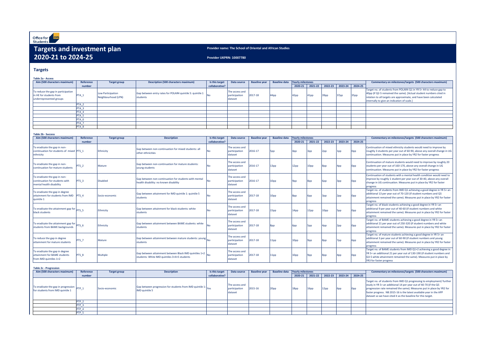## **Provider name: The School of Oriental and African Studies**

**Table 2a - Access**

| Aim (500 characters maximum)                                                             | Reference        | <b>Target group</b>                      | Description (500 characters maximum)                                  | Is this target | Data source                                | <b>Baseline year</b> |         | Baseline data   Yearly milestones |         |                  |                  |                           | <b>Commentary on milestones/targets (500 characters maximum)</b>                                                                                                                                                                                              |
|------------------------------------------------------------------------------------------|------------------|------------------------------------------|-----------------------------------------------------------------------|----------------|--------------------------------------------|----------------------|---------|-----------------------------------|---------|------------------|------------------|---------------------------|---------------------------------------------------------------------------------------------------------------------------------------------------------------------------------------------------------------------------------------------------------------|
|                                                                                          | number           |                                          |                                                                       | collaborative? |                                            |                      |         | 2020-21                           | 2021-22 |                  |                  | $2022-23$ 2023-24 2024-25 |                                                                                                                                                                                                                                                               |
| To reduce the gap in participation<br>in HE for students from<br>underrepresented groups | PTA_1            | Low Participation<br>Neighbourhood (LPN) | Gap between entry rates for POLAR4 quintile 5: quintile 1<br>students |                | The access and<br>participation<br>dataset | 2017-18              | $44$ pp | 42pp                              | 41pp    | 39 <sub>pp</sub> | 37 <sub>pp</sub> | 35 <sub>pp</sub>          | Target no. of students from POLAR4 Q1 in YR 5= 44 to reduce gap to<br>40pp (if Q2-5 remained the same). [Actual student numbers cited in<br>relation to all targets are approximate, and have been calculated<br> internally to give an indication of scale.] |
|                                                                                          | $PTA_2$          |                                          |                                                                       |                |                                            |                      |         |                                   |         |                  |                  |                           |                                                                                                                                                                                                                                                               |
|                                                                                          | PTA <sub>3</sub> |                                          |                                                                       |                |                                            |                      |         |                                   |         |                  |                  |                           |                                                                                                                                                                                                                                                               |
|                                                                                          | <u>PTA_4</u>     |                                          |                                                                       |                |                                            |                      |         |                                   |         |                  |                  |                           |                                                                                                                                                                                                                                                               |
|                                                                                          | PTA <sub>5</sub> |                                          |                                                                       |                |                                            |                      |         |                                   |         |                  |                  |                           |                                                                                                                                                                                                                                                               |
|                                                                                          | PTA 6            |                                          |                                                                       |                |                                            |                      |         |                                   |         |                  |                  |                           |                                                                                                                                                                                                                                                               |
|                                                                                          | PTA_7            |                                          |                                                                       |                |                                            |                      |         |                                   |         |                  |                  |                           |                                                                                                                                                                                                                                                               |
|                                                                                          | PTA <sub>8</sub> |                                          |                                                                       |                |                                            |                      |         |                                   |         |                  |                  |                           |                                                                                                                                                                                                                                                               |

| Aim (500 characters maximum)                                                               | Reference        | <b>Target group</b> | <b>Description</b>                                                                                           | Is this target | <b>Data source</b>                         | <b>Baseline year</b> | <b>Baseline data</b> | <b>Yearly milestones</b> |         |         |                 |                 | Commentary on milestones/targets (500 characters maximum)                                                                                                                                                                                                 |
|--------------------------------------------------------------------------------------------|------------------|---------------------|--------------------------------------------------------------------------------------------------------------|----------------|--------------------------------------------|----------------------|----------------------|--------------------------|---------|---------|-----------------|-----------------|-----------------------------------------------------------------------------------------------------------------------------------------------------------------------------------------------------------------------------------------------------------|
|                                                                                            | number           |                     |                                                                                                              | collaborative? |                                            |                      |                      | 2020-21                  | 2021-22 | 2022-23 | 2023-24         | 2024-25         |                                                                                                                                                                                                                                                           |
| To eradicate the gap in non-<br>continuation for students of mixed PTS 1<br>ethnicity      |                  | Ethnicity           | Gap between non-continuation for mixed students: all<br>other ethnicities                                    | <b>No</b>      | The access and<br>participation<br>dataset | 2016-17              | 5pp                  | 4pp                      | 3pp     | 2pp     | 1pp             | 0pp             | Continuation of mixed ethnicity students would need to improve by<br>roughly 3 students per year out of 60-90, above any overall change in UG<br>continuation. Measures put in place by YR2 for faster progress                                           |
| To eradicate the gap in non-<br>continuation for mature students                           | PTS <sub>2</sub> | Mature              | Gap between non-continuation for mature students:<br>young students                                          |                | The access and<br>participation<br>dataset | 2016-17              | 13pp                 | 12pp                     | 10pp    | 3pp     | 4pp             | 0pp.            | Continuation of mature students would need to improve by roughly 20<br>students per year out of 160-170, above any overall change in UG<br>continuation. Measures put in place by YR2 for faster progress                                                 |
| To eradicate the gap in non-<br>continuation for students with<br>mental health disability | PTS <sub>3</sub> | <b>Disabled</b>     | Gap between non-continuation for students with mental<br>health disability: no known disability              | INo I          | The access and<br>participation<br>dataset | 2016-17              | 10pp                 | $9$ pp                   | 8pp     | 6pp     | 3pp             | 0pp             | Continuation of students with a mental health condition would need to<br>improve by roughly 1 student per year out of 30-40, above any overall<br>change in UG continuation. Measures put in place by YR2 for faster<br>progress                          |
| To eradicate the gap in degree<br>attainment for students from IMD   PTS 4<br>quintile 1   |                  | Socio-economic      | Gap between attainment for IMD quintile 1: quintile 5<br>students                                            | No.            | The access and<br>participation<br>dataset | 2017-18              | 10pp                 | 8pp                      | 6pp     | 3pp     | 2 <sub>pp</sub> | 0pp             | Target no. of students from IMD Q1 achieving a good degree in YR 5= an<br>additional 13 per year out of 70-120 (if student numbers and Q5<br>attainment remained the same). Measures put in place by YR2 for faster<br>progress                           |
| To eradicate the attainment gap for $\vert$ PTS_5<br>black students                        |                  | Ethnicity           | Gap between attainment for black students: white<br>students                                                 | N٥             | The access and<br>participation<br>dataset | 2017-18              | 15pp                 | 14pp                     | 12pp    | 10pp    | 5pp             | Opp             | Target no. of black students achieving a good degree in YR 5= an<br>additional 9 per year out of 40-60 (if student numbers and white<br>attainment remained the same). Measures put in place by YR2 for faster<br>progress                                |
| To eradicate the attainment gap for $pTS_6$<br>students from BAME backgrounds              |                  | Ethnicity           | Gap between attainment between BAME students: white<br>students                                              |                | The access and<br>participation<br>dataset | 2017-18              | 8pp                  | 6pp                      | 5pp     | 4pp     | 2pp             | Opp             | Target no. of BAME students achieving a good degree in YR 5= an<br>additional 21 per year out of 250-320 (if student numbers and white<br>attainment remained the same). Measures put in place by YR2 for faster<br>progress                              |
| To reduce the gap in degree<br>attainment for mature students                              | PTS <sub>7</sub> | Mature              | Gap between attainment between mature students: young $\big _{\rm No}$<br>students                           |                | The access and<br>participation<br>dataset | 2017-18              | 11pp                 | 10pp                     | $9$ pp  | 8pp     | 7pp             | 6pp             | Target no. of mature students achieving a good degree in YR 5= an<br>additional 3 per year out of 60-90 (if student numbers and young<br>attainment remained the same). Measures put in place by YR2 for faster<br>progress                               |
| To eradicate the gap in degree<br>attainment for BAME students<br>from IMD quintiles 1+2   | PTS 8            | Multiple            | Gap between attainment between Black IMD quintiles $1+2$  No<br>students: White IMD quintiles 3+4+5 students |                | The access and<br>participation<br>dataset | 2017-18              | 11pp                 | 10pp                     | $9$ pp  | 8pp     | 4pp             | 0 <sub>pp</sub> | Target no. of BAME students from IMD Q1+2 achieving a good degree in<br>YR 5= an additional 21 per year out of 130-190 (if student numbers and<br>$\sqrt{Q}$ 3-5 white attainment remained the same). Measures put in place by<br>YR3 for faster progress |

| Aim (500 characters maximum)                                                         | <b>Reference</b> | <b>Target group</b> | <b>Description</b>                                                                                      | Is this target | Data source                                | <b>Baseline year</b> |      | Baseline data   Yearly milestones |      | Commentary on milestones/targets (500 characters maximum) |                                 |                                                                                                                                                                                                                                                                                                                                                             |
|--------------------------------------------------------------------------------------|------------------|---------------------|---------------------------------------------------------------------------------------------------------|----------------|--------------------------------------------|----------------------|------|-----------------------------------|------|-----------------------------------------------------------|---------------------------------|-------------------------------------------------------------------------------------------------------------------------------------------------------------------------------------------------------------------------------------------------------------------------------------------------------------------------------------------------------------|
|                                                                                      | number           |                     |                                                                                                         | collaborative? |                                            |                      |      | 2020-21                           |      |                                                           | 2021-22 2022-23 2023-24 2024-25 |                                                                                                                                                                                                                                                                                                                                                             |
| eradicate the gap in progression $p_{\text{TP}_1}$<br>r students from IMD quintile 1 |                  | Socio-economic      | Gap between progression for students from IMD quintile 1: $\vert_{\text{Yes}}$<br><b>IMD</b> quintile 5 |                | The access and<br>participation<br>dataset | $2015 - 16$          | 20pp | 18 <sub>pp</sub>                  | 16pp | 12pp                                                      | 6pp                             | Target no. of students from IMD Q1 progressing to employment/ further<br>study in YR 5= an additional 14 per year out of 40-70 (if the $Q5$<br>progression rate remained the same). Measures put in place by YR2 for<br>faster progress. NB 2015-16 is the latest available year in the APP<br>dataset so we have cited it as the baseline for this target. |
|                                                                                      |                  |                     |                                                                                                         |                |                                            |                      |      |                                   |      |                                                           |                                 |                                                                                                                                                                                                                                                                                                                                                             |
|                                                                                      |                  |                     |                                                                                                         |                |                                            |                      |      |                                   |      |                                                           |                                 |                                                                                                                                                                                                                                                                                                                                                             |
|                                                                                      |                  |                     |                                                                                                         |                |                                            |                      |      |                                   |      |                                                           |                                 |                                                                                                                                                                                                                                                                                                                                                             |
|                                                                                      |                  |                     |                                                                                                         |                |                                            |                      |      |                                   |      |                                                           |                                 |                                                                                                                                                                                                                                                                                                                                                             |

**Table 2c - Progression** To eradicate the gap in progression  $\vert_{\text{PTP\_1}}$ To eradicate the gap in progression  $\begin{bmatrix} \mathsf{PTP\_1} \\ \mathsf{PTP\_1} \end{bmatrix}$  Socio-economic (Gap between progression for students from IMD quintile 1: Yes The  $acc$  $particip$ dataset PTP\_2 PTP\_3 PTP<sub>4</sub> PTP\_5 **number Target group Description Description Is this target collaborative?** 

# **Targets and investment plan 2020-21 to 2024-25**

## **Targets**